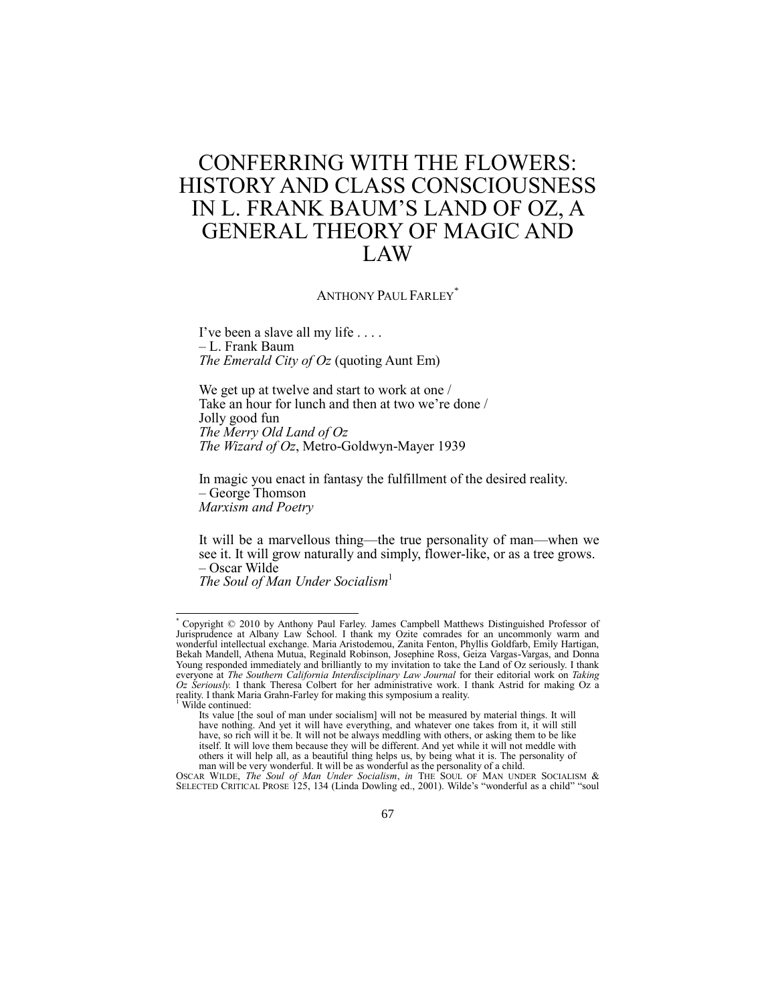## CONFERRING WITH THE FLOWERS: HISTORY AND CLASS CONSCIOUSNESS IN L. FRANK BAUM'S LAND OF OZ, A GENERAL THEORY OF MAGIC AND LAW

## ANTHONY PAUL FARLEY\*

I've been a slave all my life . . . . – L. Frank Baum *The Emerald City of Oz* (quoting Aunt Em)

We get up at twelve and start to work at one / Take an hour for lunch and then at two we're done / Jolly good fun *The Merry Old Land of Oz The Wizard of Oz*, Metro-Goldwyn-Mayer 1939

In magic you enact in fantasy the fulfillment of the desired reality. – George Thomson *Marxism and Poetry* 

It will be a marvellous thing—the true personality of man—when we see it. It will grow naturally and simply, flower-like, or as a tree grows. – Oscar Wilde

<span id="page-0-0"></span>*The Soul of Man Under Socialism*<sup>1</sup>

<sup>\*</sup> Copyright © 2010 by Anthony Paul Farley. James Campbell Matthews Distinguished Professor of Jurisprudence at Albany Law School. I thank my Ozite comrades for an uncommonly warm and wonderful intellectual exchange. Maria Aristodemou, Zanita Fenton, Phyllis Goldfarb, Emily Hartigan, Bekah Mandell, Athena Mutua, Reginald Robinson, Josephine Ross, Geiza Vargas-Vargas, and Donna Young responded immediately and brilliantly to my invitation to take the Land of Oz seriously. I thank everyone at *The Southern California Interdisciplinary Law Journal* for their editorial work on *Taking Oz Seriously.* I thank Theresa Colbert for her administrative work. I thank Astrid for making Oz a reality. I thank Maria Grahn-Farley for making this symposium a reality. <sup>1</sup> Wilde continued:

Its value [the soul of man under socialism] will not be measured by material things. It will have nothing. And yet it will have everything, and whatever one takes from it, it will still have, so rich will it be. It will not be always meddling with others, or asking them to be like itself. It will love them because they will be different. And yet while it will not meddle with others it will help all, as a beautiful thing helps us, by being what it is. The personality of man will be very wonderful. It will be as wonderful as the personality of a child.

OSCAR WILDE, *The Soul of Man Under Socialism*, *in* THE SOUL OF MAN UNDER SOCIALISM & SELECTED CRITICAL PROSE 125, 134 (Linda Dowling ed., 2001). Wilde's "wonderful as a child" "soul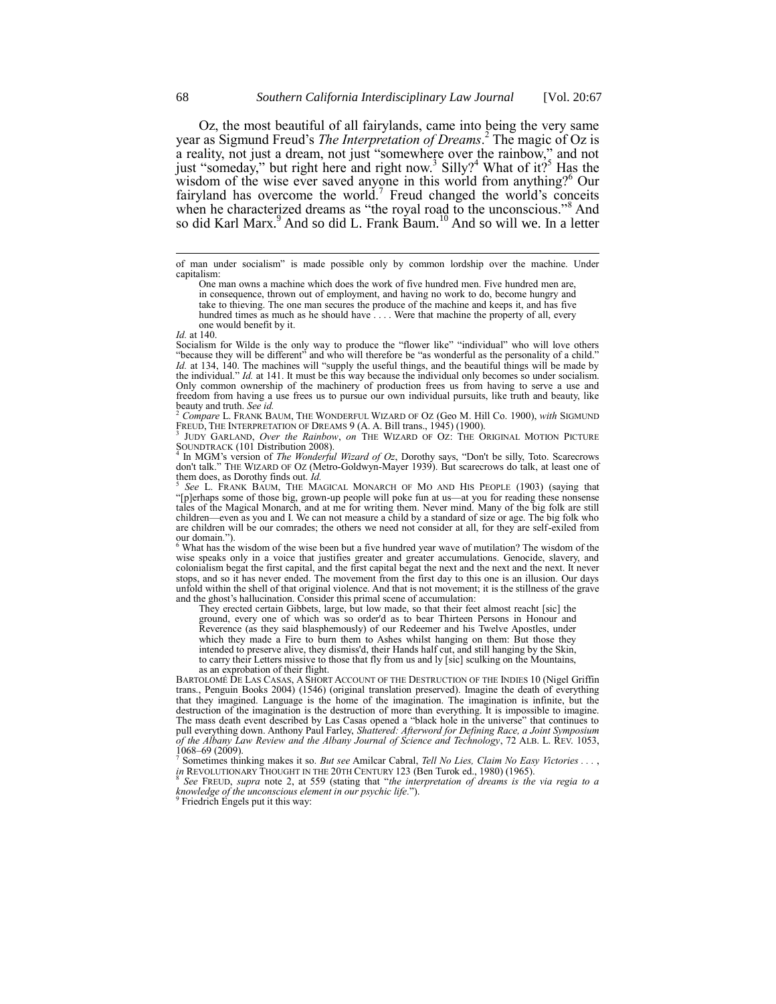<span id="page-1-2"></span><span id="page-1-1"></span><span id="page-1-0"></span>Oz, the most beautiful of all fairylands, came into being the very same year as Sigmund Freud's *The Interpretation of Dreams*. <sup>2</sup> The magic of Oz is a reality, not just a dream, not just "somewhere over the rainbow," and not just "someday," but right here and right now.<sup>3</sup> Silly?<sup>4</sup> What of it?<sup>5</sup> Has the wisdom of the wise ever saved anyone in this world from anything? $6$  Our fairyland has overcome the world.<sup>7</sup> Freud changed the world's conceits when he characterized dreams as "the royal road to the unconscious."<sup>8</sup> And so did Karl Marx.<sup>9</sup> And so did L. Frank Baum.<sup>10</sup> And so will we. In a letter

l

Socialism for Wilde is the only way to produce the "flower like" "individual" who will love others "because they will be different" and who will therefore be "as wonderful as the personality of a child. *Id.* at 134, 140. The machines will "supply the useful things, and the beautiful things will be made by the individual." *Id.* at 141. It must be this way because the individual only becomes so under socialism. Only common ownership of the machinery of production frees us from having to serve a use and freedom from having a use frees us to pursue our own individual pursuits, like truth and beauty, like beauty and truth. *See id.*

<sup>2</sup> *Compare* L. FRANK BAUM, THE WONDERFUL WIZARD OF OZ (Geo M. Hill Co. 1900), *with* SIGMUND

FREUD, THE INTERPRETATION OF DREAMS 9 (A. A. Bill trans., 1945) (1900).<br><sup>3</sup> JUDY GARLAND*, Over the Rainbow, on* THE WIZARD OF OZ: THE ORIGINAL MOTION PICTURE<br>SOUNDTRACK (101 Distribution 2008).<br><sup>4</sup> In MCM's union of *The* 

In MGM's version of *The Wonderful Wizard of Oz*, Dorothy says, "Don't be silly, Toto. Scarecrows don't talk." THE WIZARD OF OZ (Metro-Goldwyn-Mayer 1939). But scarecrows do talk, at least one of them does, as Dorothy finds out. *Id.*<br><sup>5</sup> See J. ERANZ BAIN, THE MA

What has the wisdom of the wise been but a five hundred year wave of mutilation? The wisdom of the wise speaks only in a voice that justifies greater and greater accumulations. Genocide, slavery, and colonialism begat the first capital, and the first capital begat the next and the next and the next. It never stops, and so it has never ended. The movement from the first day to this one is an illusion. Our days unfold within the shell of that original violence. And that is not movement; it is the stillness of the grave and the ghost's hallucination. Consider this primal scene of accumulation:

They erected certain Gibbets, large, but low made, so that their feet almost reacht [sic] the ground, every one of which was so order'd as to bear Thirteen Persons in Honour and Reverence (as they said blasphemously) of our Redeemer and his Twelve Apostles, under which they made a Fire to burn them to Ashes whilst hanging on them: But those they intended to preserve alive, they dismiss'd, their Hands half cut, and still hanging by the Skin, to carry their Letters missive to those that fly from us and ly [sic] sculking on the Mountains, as an exprobation of their flight.

BARTOLOMÉ DE LAS CASAS, ASHORT ACCOUNT OF THE DESTRUCTION OF THE INDIES 10 (Nigel Griffin trans., Penguin Books 2004) (1546) (original translation preserved). Imagine the death of everything that they imagined. Language is the home of the imagination. The imagination is infinite, but the destruction of the imagination is the destruction of more than everything. It is impossible to imagine.<br>The mass death event described by Las Casas opened a "black hole in the universe" that continues to pull everything down. Anthony Paul Farley, *Shattered: Afterword for Defining Race, a Joint Symposium of the Albany Law Review and the Albany Journal of Science and Technology*, 72 ALB. L. REV. 1053,  $\frac{1068-69}{\text{Sommains}}$ 

Sometimes thinking makes it so. *But see* Amilcar Cabral, *Tell No Lies, Claim No Easy Victories . . .* , *in* REVOLUTIONARY THOUGHT IN THE [2](#page-1-0)0TH CENTURY 123 (Ben Turok ed., 1980) (1965).<br><sup>8</sup> *See* FREUD, *supra* note 2, at 559 (stating that "*the interpretation of dreams is the via regia to a* 

knowledge of the unconscious element in our psychic life.").<br><sup>9</sup> Friedrich Engels put it this way:

Friedrich Engels put it this way:

of man under socialism" is made possible only by common lordship over the machine. Under capitalism:

<span id="page-1-4"></span><span id="page-1-3"></span>One man owns a machine which does the work of five hundred men. Five hundred men are, in consequence, thrown out of employment, and having no work to do, become hungry and take to thieving. The one man secures the produce of the machine and keeps it, and has five hundred times as much as he should have .... Were that machine the property of all, every one would benefit by it.

*Id.* at 140.

*See* L. FRANK BAUM, THE MAGICAL MONARCH OF MO AND HIS PEOPLE (1903) (saying that ―[p]erhaps some of those big, grown-up people will poke fun at us—at you for reading these nonsense tales of the Magical Monarch, and at me for writing them. Never mind. Many of the big folk are still children—even as you and I. We can not measure a child by a standard of size or age. The big folk who are children will be our comrades; the others we need not consider at all, for they are self-exiled from our domain.").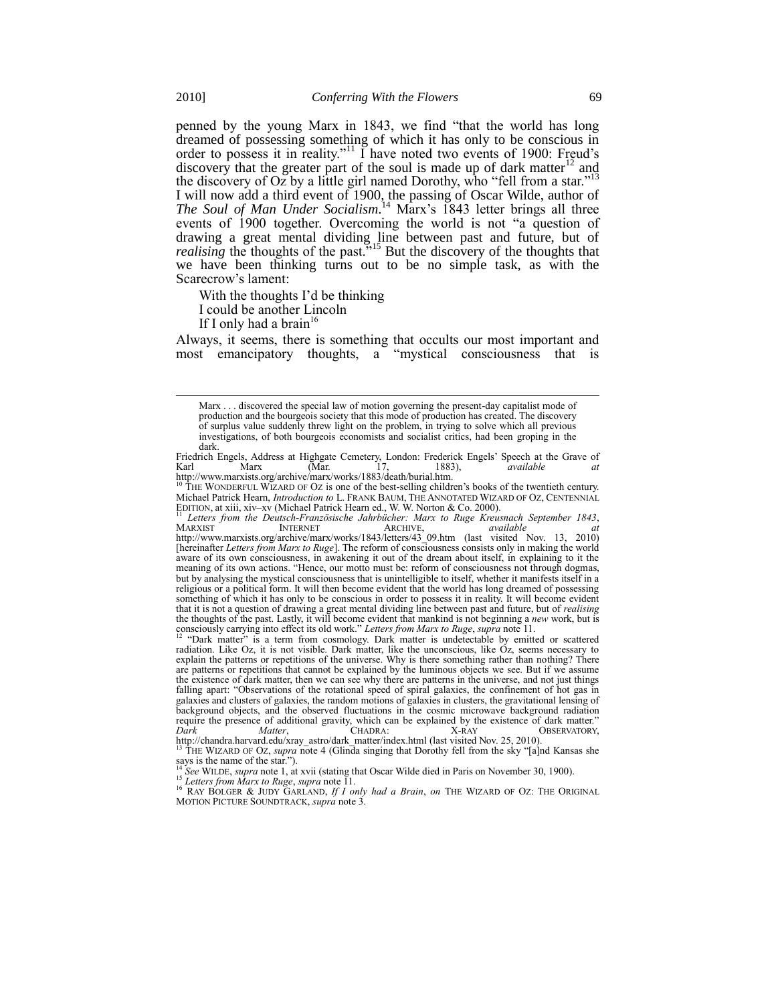<span id="page-2-0"></span>penned by the young Marx in 1843, we find "that the world has long dreamed of possessing something of which it has only to be conscious in order to possess it in reality."<sup>11</sup> I have noted two events of 1900: Freud's discovery that the greater part of the soul is made up of dark matter<sup>12</sup> and the discovery of Oz by a little girl named Dorothy, who "fell from a star."<sup>13</sup> I will now add a third event of 1900, the passing of Oscar Wilde, author of *The Soul of Man Under Socialism*. <sup>14</sup> Marx's 1843 letter brings all three events of 1900 together. Overcoming the world is not "a question of drawing a great mental dividing line between past and future, but of *realising* the thoughts of the past.<sup>515</sup> But the discovery of the thoughts that we have been thinking turns out to be no simple task, as with the Scarecrow's lament:

With the thoughts I'd be thinking

I could be another Lincoln

If I only had a brain<sup>16</sup>

Always, it seems, there is something that occults our most important and most emancipatory thoughts, a "mystical consciousness that is

<sup>11</sup> *Letters from the Deutsch-Französische Jahrbücher: Marx to Ruge Kreusnach September 1843*, MARXIST INTERNET ARCHIVE, *available at*  http://www.marxists.org/archive/marx/works/1843/letters/43\_09.htm (last visited Nov. 13, 2010) [hereinafter *Letters from Marx to Ruge*]. The reform of consciousness consists only in making the world aware of its own consciousness, in awakening it out of the dream about itself, in explaining to it the meaning of its own actions. "Hence, our motto must be: reform of consciousness not through dogmas, but by analysing the mystical consciousness that is unintelligible to itself, whether it manifests itself in a religious or a political form. It will then become evident that the world has long dreamed of possessing something of which it has only to be conscious in order to possess it in reality. It will become evident that it is not a question of drawing a great mental dividing line between past and future, but of *realising* the thoughts of the past. Lastly, it will become evident that mankind is not beginning a *new* work, but is consciously carrying into effect its old work." *Letters from Marx to Ruge, supra* not[e 11.](#page-2-0)<br><sup>12</sup> "Dark matter" is

radiation. Like Oz, it is not visible. Dark matter, like the unconscious, like Oz, seems necessary to explain the patterns or repetitions of the universe. Why is there something rather than nothing? There are patterns or repetitions that cannot be explained by the luminous objects we see. But if we assume the existence of dark matter, then we can see why there are patterns in the universe, and not just things falling apart: "Observations of the rotational speed of spiral galaxies, the confinement of hot gas in galaxies and clusters of galaxies, the random motions of galaxies in clusters, the gravitational lensing of background objects, and the observed fluctuations in the cosmic microwave background radiation require the presence of additional gravity, which can be explained by the existence of dark matter." *Dark Matter*, CHADRA: X-RAY OBSERVATORY,

<sup>14</sup> *See* WILDE, *supra* not[e 1,](#page-0-0) at xvii (stating that Oscar Wilde died in Paris on November 30, 1900). <sup>15</sup> *Letters from Marx to Ruge*, *supra* not[e 11.](#page-2-0)

<sup>16</sup> RAY BOLGER & JUDY GARLAND, *If I only had a Brain*, *on* THE WIZARD OF OZ: THE ORIGINAL MOTION PICTURE SOUNDTRACK, *supra* note [3.](#page-1-2)

Marx . . . discovered the special law of motion governing the present-day capitalist mode of production and the bourgeois society that this mode of production has created. The discovery of surplus value suddenly threw light on the problem, in trying to solve which all previous investigations, of both bourgeois economists and socialist critics, had been groping in the dark.

Friedrich Engels, Address at Highgate Cemetery, London: Frederick Engels' Speech at the Grave of Karl Marx (Mar. 17, 1883), *available at*<br>http://www.marxists.org/archive/marx/works/1883/death/burial.htm.<br><sup>10</sup> THE WONDERFUL WIZARD OF OZ is one of the best-selling children's books of the twentieth century.

Michael Patrick Hearn, *Introduction to* L. FRANK BAUM, THE ANNOTATED WIZARD OF OZ, CENTENNIAL EDITION, at xiii, xiv–xv (Michael Patrick Hearn ed., W. W. Norton & Co. 2000).

http://chandra.harvard.edu/xray\_astro/dark\_matter/index.html (last visited Nov. 25, 2010).<br><sup>13</sup> THE WIZARD OF OZ, *supra* note [4](#page-1-1) (Glinda singing that Dorothy fell from the sky "[a]nd Kansas she says is the name of the star.").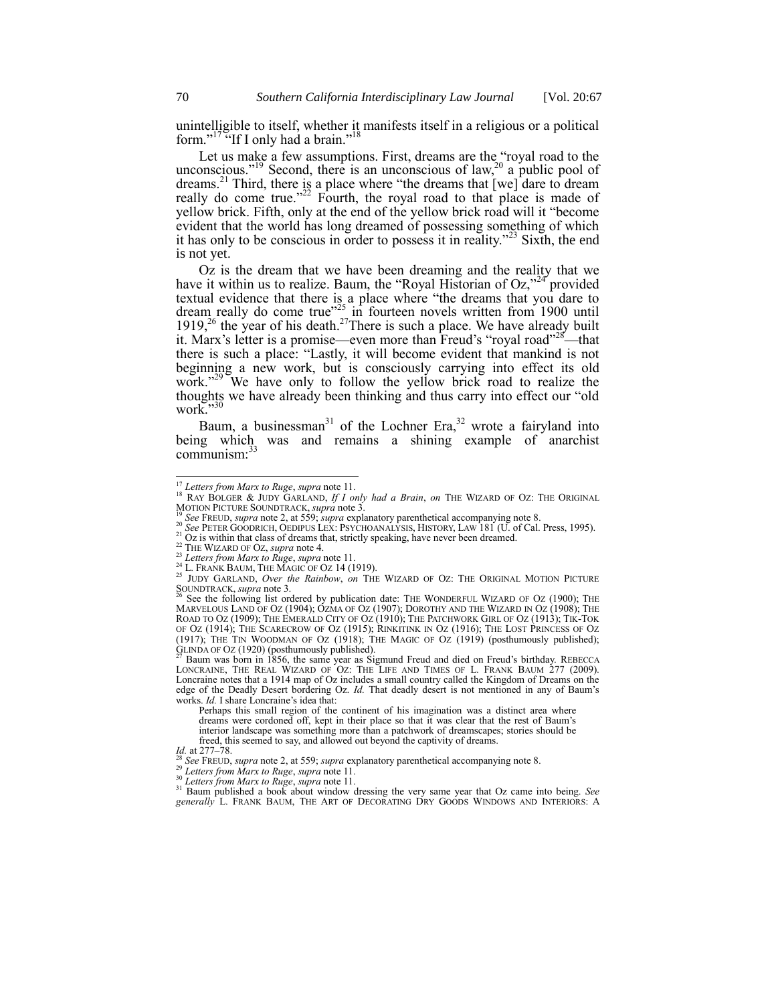unintelligible to itself, whether it manifests itself in a religious or a political form."<sup>17</sup>"If I only had a brain."<sup>18</sup>

Let us make a few assumptions. First, dreams are the "royal road to the unconscious."<sup>19</sup> Second, there is an unconscious of law,<sup>20</sup> a public pool of dreams.<sup>21</sup> Third, there is a place where "the dreams that  $[we]$  dare to dream really do come true.<sup> $22$ </sup> Fourth, the royal road to that place is made of yellow brick. Fifth, only at the end of the yellow brick road will it "become evident that the world has long dreamed of possessing something of which it has only to be conscious in order to possess it in reality."<sup>23</sup> Sixth, the end is not yet.

<span id="page-3-0"></span>Oz is the dream that we have been dreaming and the reality that we have it within us to realize. Baum, the "Royal Historian of  $Oz$ ,"<sup>24</sup> provided textual evidence that there is a place where "the dreams that you dare to dream really do come true<sup> $25$ </sup> in fourteen novels written from 1900 until 1919,<sup>26</sup> the year of his death.<sup>27</sup>There is such a place. We have already built it. Marx's letter is a promise—even more than  $\overline{F}$ reud's "royal road"<sup>28</sup>—that there is such a place: "Lastly, it will become evident that mankind is not beginning a new work, but is consciously carrying into effect its old work.<sup>29</sup> We have only to follow the yellow brick road to realize the thoughts we have already been thinking and thus carry into effect our "old" work. $\sum_{i=1}^{30}$ 

Baum, a businessman<sup>31</sup> of the Lochner Era,<sup>32</sup> wrote a fairyland into being which was and remains a shining example of anarchist communism:<sup>33</sup>

<sup>20</sup> *See* PETER GOODRICH, OEDIPUS LEX: PSYCHOANALYSIS, HISTORY, LAW 181 (U. of Cal. Press, 1995).

<sup>17</sup> *Letters from Marx to Ruge*, *supra* not[e 11.](#page-2-0)

<sup>18</sup> RAY BOLGER & JUDY GARLAND, *If I only had a Brain*, *on* THE WIZARD OF OZ: THE ORIGINAL MOTION PICTURE SOUNDTRACK, *supra* not[e 3.](#page-1-2)

<sup>19</sup> *See* FREUD, *supra* not[e 2,](#page-1-0) at 559; *supra* explanatory parenthetical accompanying not[e 8.](#page-1-3)

<sup>&</sup>lt;sup>21</sup> Oz is within that class of dreams that, strictly speaking, have never been dreamed.

<sup>22</sup> THE WIZARD OF OZ, *supra* not[e 4.](#page-1-1)

<sup>23</sup> *Letters from Marx to Ruge*, *supra* not[e 11.](#page-2-0) <sup>24</sup> L. FRANK BAUM, THE MAGIC OF OZ 14 (1919).

<sup>&</sup>lt;sup>25</sup> JUDY GARLAND, *Over the Rainbow*, *on* THE WIZARD OF OZ: THE ORIGINAL MOTION PICTURE SOUNDTRACK, *supra* not[e 3.](#page-1-2)<br><sup>26</sup> See the following list ordered by publication date: THE WONDERFUL WIZARD OF OZ (1900); THE

MARVELOUS LAND OF OZ (1904); OZMA OF OZ (1907); DOROTHY AND THE WIZARD IN OZ (1908); THE ROAD TO OZ (1909); THE EMERALD CITY OF OZ (1910); THE PATCHWORK GIRL OF OZ (1913); TIK-TOK OF OZ (1914); THE SCARECROW OF OZ (1915); RINKITINK IN OZ (1916); THE LOST PRINCESS OF OZ (1917); THE TIN WOODMAN OF OZ (1918); THE MAGIC OF OZ (1919) (posthumously published); GLINDA OF OZ (1920) (posthumously published). <sup>27</sup> Baum was born in 1856, the same year as Sigmund Freud and died on Freud's birthday. REBECCA

LONCRAINE, THE REAL WIZARD OF OZ: THE LIFE AND TIMES OF L. FRANK BAUM 277 (2009). Loncraine notes that a 1914 map of Oz includes a small country called the Kingdom of Dreams on the edge of the Deadly Desert bordering Oz. *Id.* That deadly desert is not mentioned in any of Baum's works. *Id.* I share Loncraine's idea that:

Perhaps this small region of the continent of his imagination was a distinct area where dreams were cordoned off, kept in their place so that it was clear that the rest of Baum's interior landscape was something more than a patchwork of dreamscapes; stories should be freed, this seemed to say, and allowed out beyond the captivity of dreams.

*Id.* at 277–78.

<sup>28</sup> *See* FREUD, *supra* not[e 2,](#page-1-0) at 559; *supra* explanatory parenthetical accompanying not[e 8.](#page-1-3)

<sup>29</sup> *Letters from Marx to Ruge*, *supra* not[e 11.](#page-2-0)

<sup>30</sup> *Letters from Marx to Ruge*, *supra* not[e 11.](#page-2-0)

<sup>&</sup>lt;sup>31</sup> Baum published a book about window dressing the very same year that Oz came into being. *See generally* L. FRANK BAUM, THE ART OF DECORATING DRY GOODS WINDOWS AND INTERIORS: A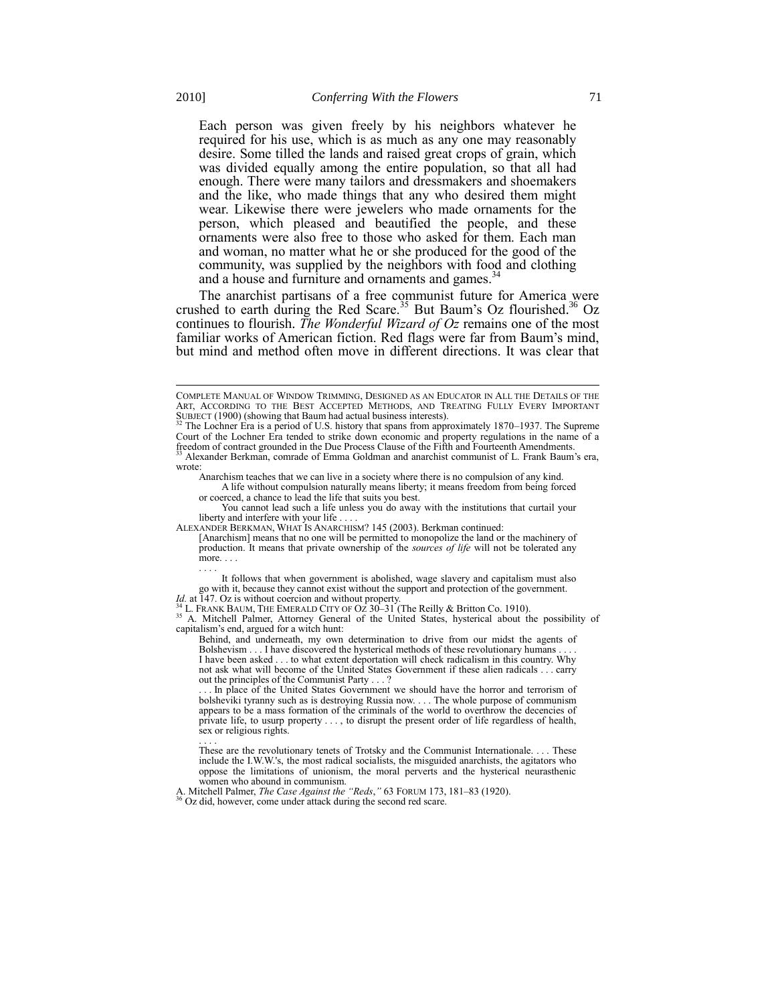Each person was given freely by his neighbors whatever he required for his use, which is as much as any one may reasonably desire. Some tilled the lands and raised great crops of grain, which was divided equally among the entire population, so that all had enough. There were many tailors and dressmakers and shoemakers and the like, who made things that any who desired them might wear. Likewise there were jewelers who made ornaments for the person, which pleased and beautified the people, and these ornaments were also free to those who asked for them. Each man and woman, no matter what he or she produced for the good of the community, was supplied by the neighbors with food and clothing and a house and furniture and ornaments and games.<sup>3</sup>

<span id="page-4-0"></span>The anarchist partisans of a free communist future for America were crushed to earth during the Red Scare.<sup>35</sup> But Baum's Oz flourished.<sup>36</sup> Oz continues to flourish. *The Wonderful Wizard of Oz* remains one of the most familiar works of American fiction. Red flags were far from Baum's mind, but mind and method often move in different directions. It was clear that

COMPLETE MANUAL OF WINDOW TRIMMING, DESIGNED AS AN EDUCATOR IN ALL THE DETAILS OF THE ART, ACCORDING TO THE BEST ACCEPTED METHODS, AND TREATING FULLY EVERY IMPORTANT SUBJECT  $(1900)$  (showing that Baum had actual business interests).

The Lochner Era is a period of U.S. history that spans from approximately 1870–1937. The Supreme Court of the Lochner Era tended to strike down economic and property regulations in the name of a freedom of contract grounded in the Due Process Clause of the Fifth and Fourteenth Amendments. <sup>33</sup> Alexander Berkman, comrade of Emma Goldman and anarchist communist of L. Frank Baum's era,

wrote Anarchism teaches that we can live in a society where there is no compulsion of any kind. A life without compulsion naturally means liberty; it means freedom from being forced

or coerced, a chance to lead the life that suits you best. You cannot lead such a life unless you do away with the institutions that curtail your liberty and interfere with your life . . . .

ALEXANDER BERKMAN, WHAT IS ANARCHISM? 145 (2003). Berkman continued:

<sup>[</sup>Anarchism] means that no one will be permitted to monopolize the land or the machinery of production. It means that private ownership of the *sources of life* will not be tolerated any more. . . . . . . .

It follows that when government is abolished, wage slavery and capitalism must also go with it, because they cannot exist without the support and protection of the government.

*Id.* at 147. Oz is without coercion and without property.<br><sup>34</sup> L. FRANK BAUM, THE EMERALD CITY OF OZ 30–31 (The Reilly & Britton Co. 1910).

<sup>&</sup>lt;sup>35</sup> A. Mitchell Palmer, Attorney General of the United States, hysterical about the possibility of capitalism's end, argued for a witch hunt:

Behind, and underneath, my own determination to drive from our midst the agents of Bolshevism . . . I have discovered the hysterical methods of these revolutionary humans I have been asked . . . to what extent deportation will check radicalism in this country. Why not ask what will become of the United States Government if these alien radicals . . . carry out the principles of the Communist Party . . . ?<br>. . . In place of the United States Government we should have the horror and terrorism of

bolsheviki tyranny such as is destroying Russia now. . . . The whole purpose of communism appears to be a mass formation of the criminals of the world to overthrow the decencies of private life, to usurp property . . . , to disrupt the present order of life regardless of health, sex or religious rights.

<sup>.</sup> . . . These are the revolutionary tenets of Trotsky and the Communist Internationale. . . . These include the I.W.W.'s, the most radical socialists, the misguided anarchists, the agitators who oppose the limitations of unionism, the moral perverts and the hysterical neurasthenic women who abound in communism.

A. Mitchell Palmer, *The Case Against the "Reds*,*"* 63 FORUM 173, 181–83 (1920).

Oz did, however, come under attack during the second red scare.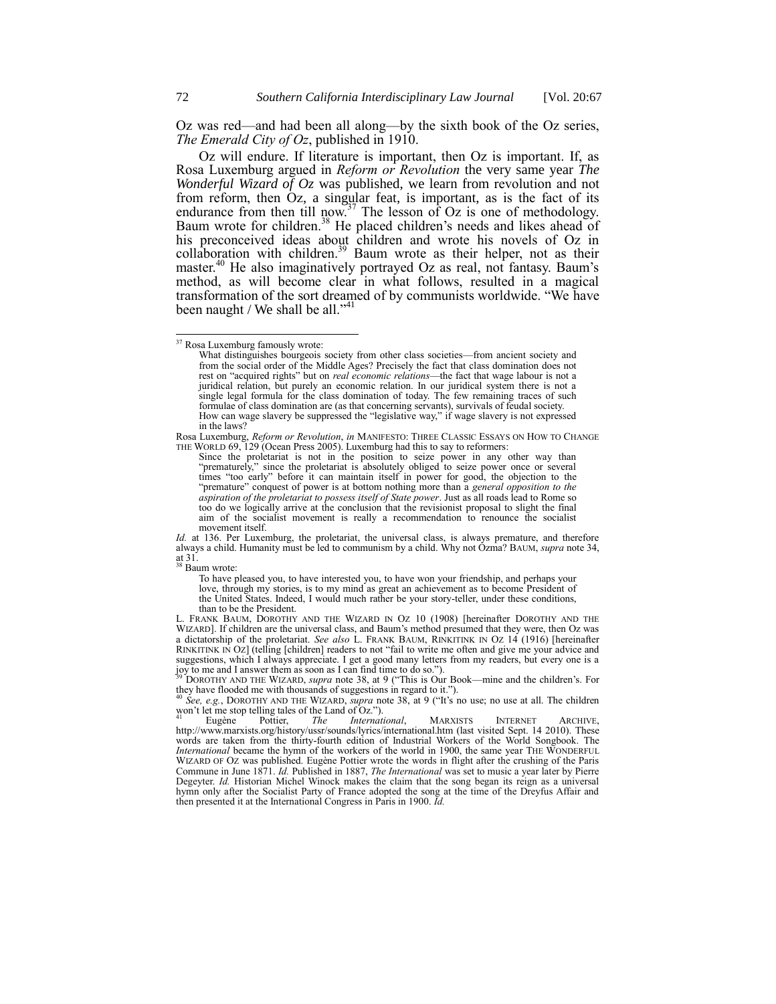Oz was red—and had been all along—by the sixth book of the Oz series, *The Emerald City of Oz*, published in 1910.

<span id="page-5-0"></span>Oz will endure. If literature is important, then Oz is important. If, as Rosa Luxemburg argued in *Reform or Revolution* the very same year *The Wonderful Wizard of Oz* was published, we learn from revolution and not from reform, then Oz, a singular feat, is important, as is the fact of its endurance from then till now.<sup>37</sup> The lesson of Oz is one of methodology. Baum wrote for children.<sup>38</sup> He placed children's needs and likes ahead of his preconceived ideas about children and wrote his novels of Oz in collaboration with children.<sup>39</sup> Baum wrote as their helper, not as their master.<sup>40</sup> He also imaginatively portrayed Oz as real, not fantasy. Baum's method, as will become clear in what follows, resulted in a magical transformation of the sort dreamed of by communists worldwide. "We have been naught / We shall be all."<sup>41</sup>

<sup>&</sup>lt;sup>37</sup> Rosa Luxemburg famously wrote:

What distinguishes bourgeois society from other class societies—from ancient society and from the social order of the Middle Ages? Precisely the fact that class domination does not rest on "acquired rights" but on *real economic relations*—the fact that wage labour is not a juridical relation, but purely an economic relation. In our juridical system there is not a single legal formula for the class domination of today. The few remaining traces of such formulae of class domination are (as that concerning servants), survivals of feudal society. How can wage slavery be suppressed the "legislative way," if wage slavery is not expressed in the laws?

Rosa Luxemburg, *Reform or Revolution*, *in* MANIFESTO: THREE CLASSIC ESSAYS ON HOW TO CHANGE THE WORLD 69, 129 (Ocean Press 2005). Luxemburg had this to say to reformers:

Since the proletariat is not in the position to seize power in any other way than "prematurely," since the proletariat is absolutely obliged to seize power once or several times "too early" before it can maintain itself in power for good, the objection to the ―premature‖ conquest of power is at bottom nothing more than a *general opposition to the aspiration of the proletariat to possess itself of State power*. Just as all roads lead to Rome so too do we logically arrive at the conclusion that the revisionist proposal to slight the final aim of the socialist movement is really a recommendation to renounce the socialist movement itself.

*Id.* at 136. Per Luxemburg, the proletariat, the universal class, is always premature, and therefore always a child. Humanity must be led to communism by a child. Why not Ozma? BAUM, *supra* not[e 34,](#page-4-0) at 31. <sup>38</sup> Baum wrote:

To have pleased you, to have interested you, to have won your friendship, and perhaps your love, through my stories, is to my mind as great an achievement as to become President of the United States. Indeed, I would much rather be your story-teller, under these conditions, than to be the President.

L. FRANK BAUM, DOROTHY AND THE WIZARD IN OZ 10 (1908) [hereinafter DOROTHY AND THE WIZARD]. If children are the universal class, and Baum's method presumed that they were, then Oz was a dictatorship of the proletariat. *See also* L. FRANK BAUM, RINKITINK IN OZ 14 (1916) [hereinafter RINKITINK IN OZ] (telling [children] readers to not "fail to write me often and give me your advice and suggestions, which I always appreciate. I get a good many letters from my readers, but every one is a joy to me and I answer them as soon as I can find time to do so.").

DOROTHY AND THE WIZARD, *supra* note [38](#page-5-0), at 9 ("This is Our Book—mine and the children's. For they have flooded me with thousands of suggestions in regard to it.").<br><sup>40</sup> *See, e.g.*, DOROTHY AND THE WIZARD, *supra* not[e 38](#page-5-0), at 9 ("It's no use; no use at all. The children

won't let me stop telling tales of the Land of Oz.").<br><sup>41</sup> Eugène Pottier, *The International*,

<sup>41</sup> Eugène Pottier, *The International*, MARXISTS INTERNET ARCHIVE, http://www.marxists.org/history/ussr/sounds/lyrics/international.htm (last visited Sept. 14 2010). These words are taken from the thirty-fourth edition of Industrial Workers of the World Songbook. The *International* became the hymn of the workers of the world in 1900, the same year THE WONDERFUL WIZARD OF OZ was published. Eugène Pottier wrote the words in flight after the crushing of the Paris Commune in June 1871. *Id.* Published in 1887, *The International* was set to music a year later by Pierre Degeyter. *Id.* Historian Michel Winock makes the claim that the song began its reign as a universal hymn only after the Socialist Party of France adopted the song at the time of the Dreyfus Affair and then presented it at the International Congress in Paris in 1900. *Id.*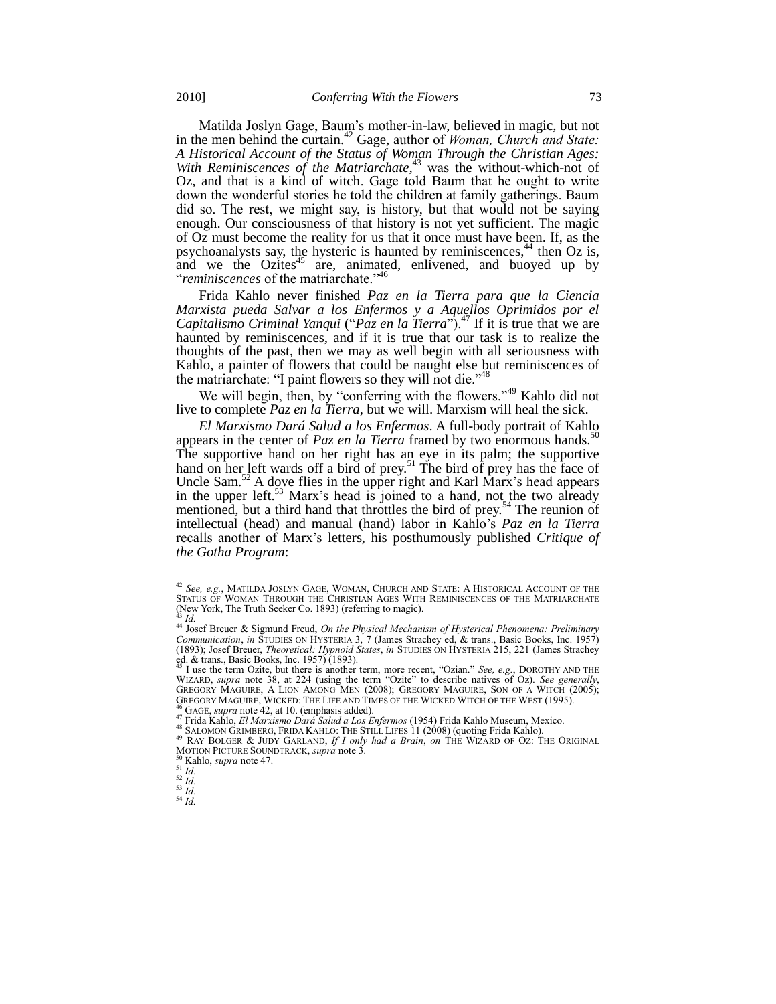<span id="page-6-0"></span>Matilda Joslyn Gage, Baum's mother-in-law, believed in magic, but not in the men behind the curtain.<sup>42</sup> Gage, author of *Woman, Church and State: A Historical Account of the Status of Woman Through the Christian Ages:*  With Reminiscences of the Matriarchate,<sup>43</sup> was the without-which-not of Oz, and that is a kind of witch. Gage told Baum that he ought to write down the wonderful stories he told the children at family gatherings. Baum did so. The rest, we might say, is history, but that would not be saying enough. Our consciousness of that history is not yet sufficient. The magic of Oz must become the reality for us that it once must have been. If, as the psychoanalysts say, the hysteric is haunted by reminiscences, $44$  then Oz is, and we the Ozites<sup>45</sup> are, animated, enlivened, and buoyed up by "*reminiscences* of the matriarchate."<sup>46</sup>

<span id="page-6-1"></span>Frida Kahlo never finished *Paz en la Tierra para que la Ciencia Marxista pueda Salvar a los Enfermos y a Aquellos Oprimidos por el Capitalismo Criminal Yanqui* ("*Paz en la Tierra*"). <sup>47</sup> If it is true that we are haunted by reminiscences, and if it is true that our task is to realize the thoughts of the past, then we may as well begin with all seriousness with Kahlo, a painter of flowers that could be naught else but reminiscences of the matriarchate: "I paint flowers so they will not die."<sup>48</sup>

<span id="page-6-2"></span>We will begin, then, by "conferring with the flowers."<sup>49</sup> Kahlo did not live to complete *Paz en la Tierra*, but we will. Marxism will heal the sick.

*El Marxismo Dará Salud a los Enfermos*. A full-body portrait of Kahlo appears in the center of *Paz en la Tierra* framed by two enormous hands.<sup>50</sup> The supportive hand on her right has an eye in its palm; the supportive hand on her left wards off a bird of prey.<sup>51</sup> The bird of prey has the face of Uncle Sam.<sup>52</sup> A dove flies in the upper right and Karl Marx's head appears in the upper left.<sup>53</sup> Marx's head is joined to a hand, not the two already mentioned, but a third hand that throttles the bird of prey.<sup>54</sup> The reunion of intellectual (head) and manual (hand) labor in Kahlo's *Paz en la Tierra* recalls another of Marx's letters, his posthumously published *Critique of the Gotha Program*:

<sup>&</sup>lt;sup>42</sup> See, e.g., Matilda Joslyn Gage, Woman, Church and State: A Historical Account of the<br>Status of Woman Through the Christian Ages With Reminiscences of the Matriarchate (New York, The Truth Seeker Co. 1893) (referring to magic).

<sup>43</sup> *Id.* <sup>44</sup> Josef Breuer & Sigmund Freud, *On the Physical Mechanism of Hysterical Phenomena: Preliminary Communication*, *in* STUDIES ON HYSTERIA 3, 7 (James Strachey ed, & trans., Basic Books, Inc. 1957) (1893); Josef Breuer, *Theoretical: Hypnoid States, in* STUDIES ON HYSTERIA 215, 221 (James Strachey ed. & trans., Basic Books, Inc. 1957) (1893).<br><sup>45</sup> I use the term Ozite, but there is another term, more recent, "Ozian."

WIZARD, *supra* note [38](#page-5-0), at 224 (using the term "Ozite" to describe natives of Oz). *See generally*, GREGORY MAGUIRE, A LION AMONG MEN (2008); GREGORY MAGUIRE, SON OF A WITCH (2005); GREGORY MAGUIRE, WICKED: THE LIFE AND TIMES OF THE WICKED WITCH OF THE WEST (1995).

<sup>46</sup> GAGE, *supra* not[e 42,](#page-6-0) at 10. (emphasis added). <sup>47</sup> Frida Kahlo, *El Marxismo Dará Salud a Los Enfermos* (1954) Frida Kahlo Museum, Mexico.

<sup>48</sup> SALOMON GRIMBERG, FRIDA KAHLO: THE STILL LIFES 11 (2008) (quoting Frida Kahlo).

<sup>49</sup> RAY BOLGER & JUDY GARLAND, *If I only had a Brain*, *on* THE WIZARD OF OZ: THE ORIGINAL MOTION PICTURE SOUNDTRACK, *supra* note [3.](#page-1-2)

Kahlo, *supra* not[e 47.](#page-6-1)

<sup>51</sup> *Id.*

<sup>52</sup> *Id.*

<sup>53</sup> *Id.*

<sup>54</sup> *Id.*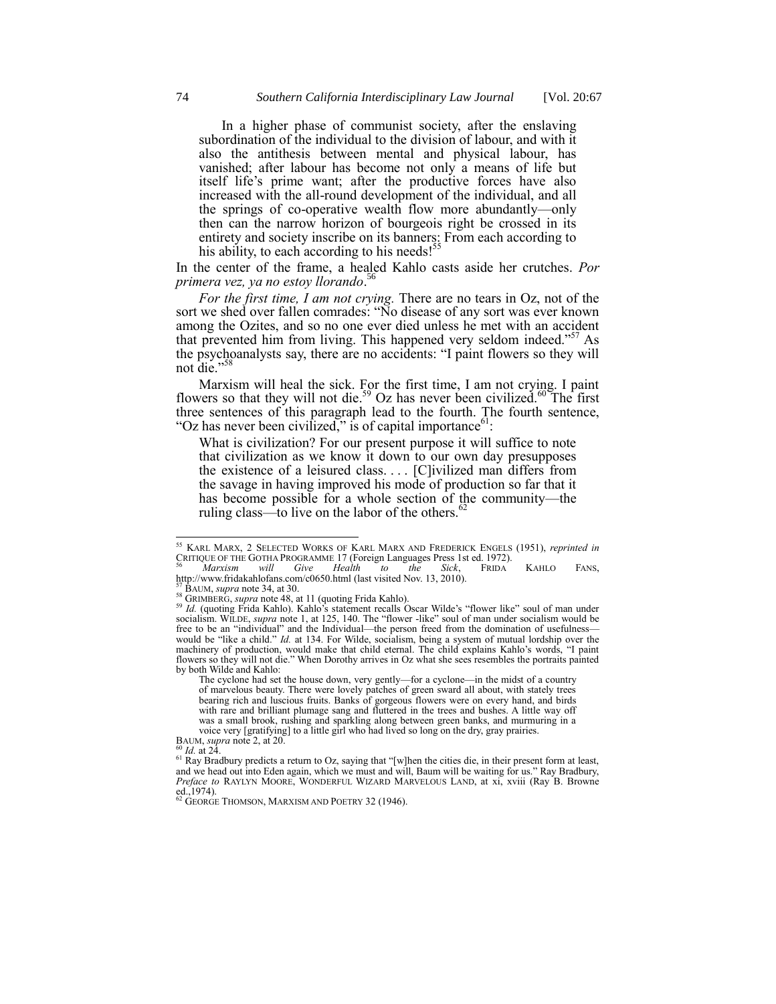In a higher phase of communist society, after the enslaving subordination of the individual to the division of labour, and with it also the antithesis between mental and physical labour, has vanished; after labour has become not only a means of life but itself life's prime want; after the productive forces have also increased with the all-round development of the individual, and all the springs of co-operative wealth flow more abundantly—only then can the narrow horizon of bourgeois right be crossed in its entirety and society inscribe on its banners: From each according to his ability, to each according to his needs!<sup>55</sup>

<span id="page-7-1"></span>In the center of the frame, a healed Kahlo casts aside her crutches. *Por primera vez, ya no estoy llorando*. 56

*For the first time, I am not crying.* There are no tears in Oz, not of the sort we shed over fallen comrades: "No disease of any sort was ever known among the Ozites, and so no one ever died unless he met with an accident that prevented him from living. This happened very seldom indeed.<sup>357</sup> As the psychoanalysts say, there are no accidents: "I paint flowers so they will not die."<sup>58</sup>

Marxism will heal the sick. For the first time, I am not crying. I paint flowers so that they will not die.<sup>59</sup> Oz has never been civilized.<sup>60</sup> The first three sentences of this paragraph lead to the fourth. The fourth sentence, "Oz has never been civilized," is of capital importance $61$ :

<span id="page-7-0"></span>What is civilization? For our present purpose it will suffice to note that civilization as we know it down to our own day presupposes the existence of a leisured class. . . . [C]ivilized man differs from the savage in having improved his mode of production so far that it has become possible for a whole section of the community—the ruling class—to live on the labor of the others. $62$ 

<sup>55</sup> KARL MARX, 2 SELECTED WORKS OF KARL MARX AND FREDERICK ENGELS (1951), *reprinted in* CRITIQUE OF THE GOTHA PROGRAMME 17 (Foreign Languages Press 1st ed. 1972). <sup>56</sup> *Marxism will Give Health to the Sick*, FRIDA KAHLO FANS,

http://www.fridakahlofans.com/c0650.html (last visited Nov. 13, 2010).

<sup>57</sup> BAUM, *supra* not[e 34,](#page-4-0) at 30.

<sup>58</sup> GRIMBERG, *supra* not[e 48,](#page-6-2) at 11 (quoting Frida Kahlo).

<sup>59</sup> *Id.* (quoting Frida Kahlo). Kahlo's statement recalls Oscar Wilde's "flower like" soul of man under socialism. WILDE, *supra* note [1](#page-0-0), at 125, 140. The "flower -like" soul of man under socialism would be free to be an "individual" and the Individual—the person freed from the domination of usefulness would be "like a child." *Id.* at 134. For Wilde, socialism, being a system of mutual lordship over the machinery of production, would make that child eternal. The child explains Kahlo's words, "I paint flowers so they will not die." When Dorothy arrives in Oz what she sees resembles the portraits painted by both Wilde and Kahlo:

The cyclone had set the house down, very gently—for a cyclone—in the midst of a country of marvelous beauty. There were lovely patches of green sward all about, with stately trees bearing rich and luscious fruits. Banks of gorgeous flowers were on every hand, and birds with rare and brilliant plumage sang and fluttered in the trees and bushes. A little way off was a small brook, rushing and sparkling along between green banks, and murmuring in a voice very [gratifying] to a little girl who had lived so long on the dry, gray prairies.

BAUM, *supra* not[e 2,](#page-1-0) at 20. <sup>60</sup> *Id.* at 24.

<sup>&</sup>lt;sup>61</sup> Ray Bradbury predicts a return to Oz, saying that "[w]hen the cities die, in their present form at least, and we head out into Eden again, which we must and will, Baum will be waiting for us." Ray Bradbury,<br>*Preface to* RAYLYN MOORE, WONDERFUL WIZARD MARVELOUS LAND, at xi, xviii (Ray B. Browne ed.,1974).<br><sup>62</sup> George Thomson, Marxism and Poetry 32 (1946).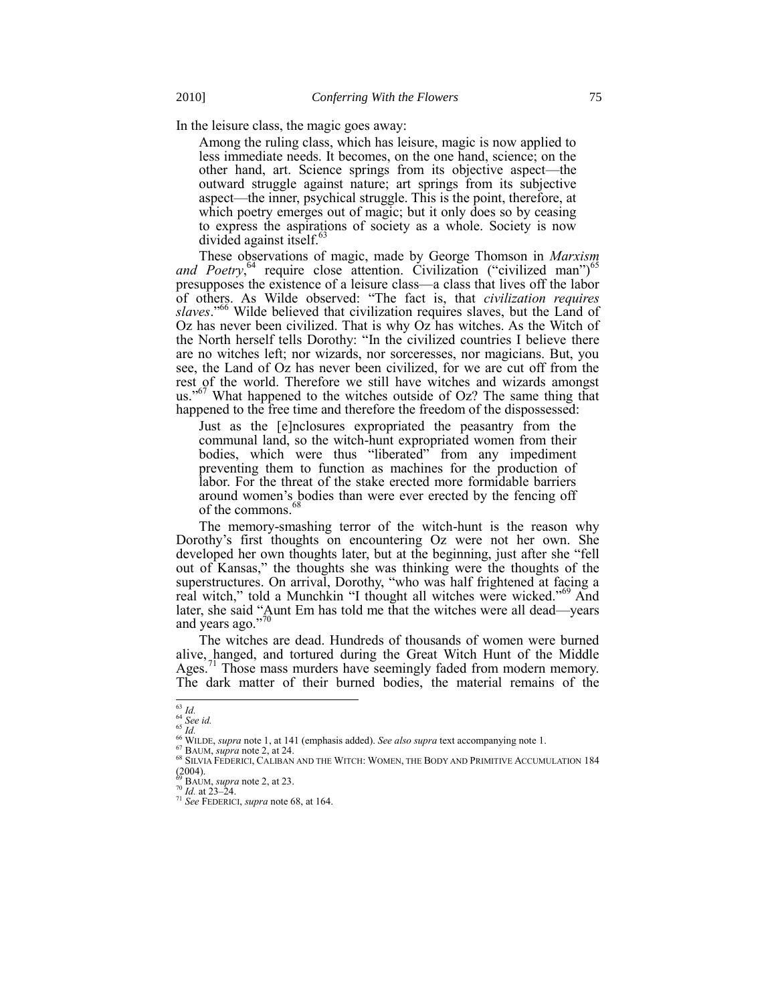In the leisure class, the magic goes away:

Among the ruling class, which has leisure, magic is now applied to less immediate needs. It becomes, on the one hand, science; on the other hand, art. Science springs from its objective aspect—the outward struggle against nature; art springs from its subjective aspect—the inner, psychical struggle. This is the point, therefore, at which poetry emerges out of magic; but it only does so by ceasing to express the aspirations of society as a whole. Society is now divided against itself.<sup>63</sup>

These observations of magic, made by George Thomson in *Marxism*  and Poetry,<sup>64</sup> require close attention. Civilization ("civilized man")<sup>65</sup> presupposes the existence of a leisure class—a class that lives off the labor of others. As Wilde observed: ―The fact is, that *civilization requires*  slaves."<sup>66</sup> Wilde believed that civilization requires slaves, but the Land of Oz has never been civilized. That is why Oz has witches. As the Witch of the North herself tells Dorothy: "In the civilized countries I believe there are no witches left; nor wizards, nor sorceresses, nor magicians. But, you see, the Land of Oz has never been civilized, for we are cut off from the rest of the world. Therefore we still have witches and wizards amongst us."<sup>67</sup> What happened to the witches outside of Oz? The same thing that happened to the free time and therefore the freedom of the dispossessed:

Just as the [e]nclosures expropriated the peasantry from the communal land, so the witch-hunt expropriated women from their bodies, which were thus "liberated" from any impediment preventing them to function as machines for the production of labor. For the threat of the stake erected more formidable barriers around women's bodies than were ever erected by the fencing off of the commons.<sup>6</sup>

<span id="page-8-0"></span>The memory-smashing terror of the witch-hunt is the reason why Dorothy's first thoughts on encountering Oz were not her own. She developed her own thoughts later, but at the beginning, just after she "fell out of Kansas," the thoughts she was thinking were the thoughts of the superstructures. On arrival, Dorothy, "who was half frightened at facing a real witch," told a Munchkin "I thought all witches were wicked."<sup>69</sup> And later, she said "Aunt Em has told me that the witches were all dead—years and years ago." $70$ 

The witches are dead. Hundreds of thousands of women were burned alive, hanged, and tortured during the Great Witch Hunt of the Middle Ages.<sup>71</sup> Those mass murders have seemingly faded from modern memory. The dark matter of their burned bodies, the material remains of the

l <sup>63</sup> *Id.*

<sup>64</sup> *See id.*

<sup>65</sup> *Id.*

<sup>66</sup> WILDE, *supra* not[e 1,](#page-0-0) at 141 (emphasis added). *See also supra* text accompanying not[e 1.](#page-0-0) <sup>67</sup> BAUM, *supra* not[e 2,](#page-1-0) at 24.

<sup>68</sup> SILVIA FEDERICI, CALIBAN AND THE WITCH: WOMEN, THE BODY AND PRIMITIVE ACCUMULATION 184 (2004). <sup>69</sup> BAUM, *supra* not[e 2,](#page-1-0) at 23.

<sup>70</sup> *Id.* at 23–24.

<sup>71</sup> *See* FEDERICI, *supra* not[e 68,](#page-8-0) at 164.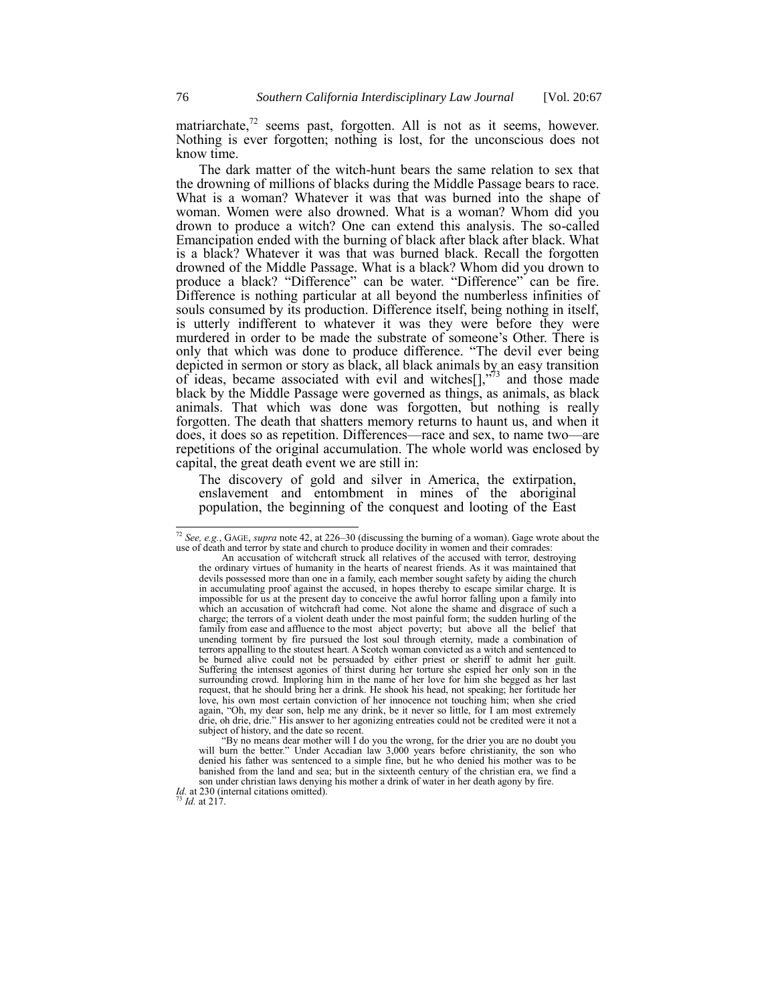matriarchate,<sup>72</sup> seems past, forgotten. All is not as it seems, however. Nothing is ever forgotten; nothing is lost, for the unconscious does not know time.

The dark matter of the witch-hunt bears the same relation to sex that the drowning of millions of blacks during the Middle Passage bears to race. What is a woman? Whatever it was that was burned into the shape of woman. Women were also drowned. What is a woman? Whom did you drown to produce a witch? One can extend this analysis. The so-called Emancipation ended with the burning of black after black after black. What is a black? Whatever it was that was burned black. Recall the forgotten drowned of the Middle Passage. What is a black? Whom did you drown to produce a black? "Difference" can be water. "Difference" can be fire. Difference is nothing particular at all beyond the numberless infinities of souls consumed by its production. Difference itself, being nothing in itself, is utterly indifferent to whatever it was they were before they were murdered in order to be made the substrate of someone's Other. There is only that which was done to produce difference. "The devil ever being depicted in sermon or story as black, all black animals by an easy transition of ideas, became associated with evil and witches $[]$ ,<sup> $\frac{73}{3}$ </sup> and those made black by the Middle Passage were governed as things, as animals, as black animals. That which was done was forgotten, but nothing is really forgotten. The death that shatters memory returns to haunt us, and when it does, it does so as repetition. Differences—race and sex, to name two—are repetitions of the original accumulation. The whole world was enclosed by capital, the great death event we are still in:

The discovery of gold and silver in America, the extirpation, enslavement and entombment in mines of the aboriginal population, the beginning of the conquest and looting of the East

*Id.* at 230 (internal citations omitted). *Id.* at 217.

<sup>72</sup> *See, e.g.*, GAGE, *supra* not[e 42,](#page-6-0) at 226–30 (discussing the burning of a woman). Gage wrote about the use of death and terror by state and church to produce docility in women and their comrades:

An accusation of witchcraft struck all relatives of the accused with terror, destroying the ordinary virtues of humanity in the hearts of nearest friends. As it was maintained that devils possessed more than one in a family, each member sought safety by aiding the church in accumulating proof against the accused, in hopes thereby to escape similar charge. It is impossible for us at the present day to conceive the awful horror falling upon a family into which an accusation of witchcraft had come. Not alone the shame and disgrace of such a charge; the terrors of a violent death under the most painful form; the sudden hurling of the family from ease and affluence to the most abject poverty; but above all the belief that unending torment by fire pursued the lost soul through eternity, made a combination of terrors appalling to the stoutest heart. A Scotch woman convicted as a witch and sentenced to be burned alive could not be persuaded by either priest or sheriff to admit her guilt. Suffering the intensest agonies of thirst during her torture she espied her only son in the surrounding crowd. Imploring him in the name of her love for him she begged as her last request, that he should bring her a drink. He shook his head, not speaking; her fortitude her love, his own most certain conviction of her innocence not touching him; when she cried again, "Oh, my dear son, help me any drink, be it never so little, for I am most extremely drie, oh drie, drie." His answer to her agonizing entreaties could not be credited were it not a subject of history, and the date so recent.

<sup>―</sup>By no means dear mother will I do you the wrong, for the drier you are no doubt you will burn the better.‖ Under Accadian law 3,000 years before christianity, the son who denied his father was sentenced to a simple fine, but he who denied his mother was to be banished from the land and sea; but in the sixteenth century of the christian era, we find a son under christian laws denying his mother a drink of water in her death agony by fire.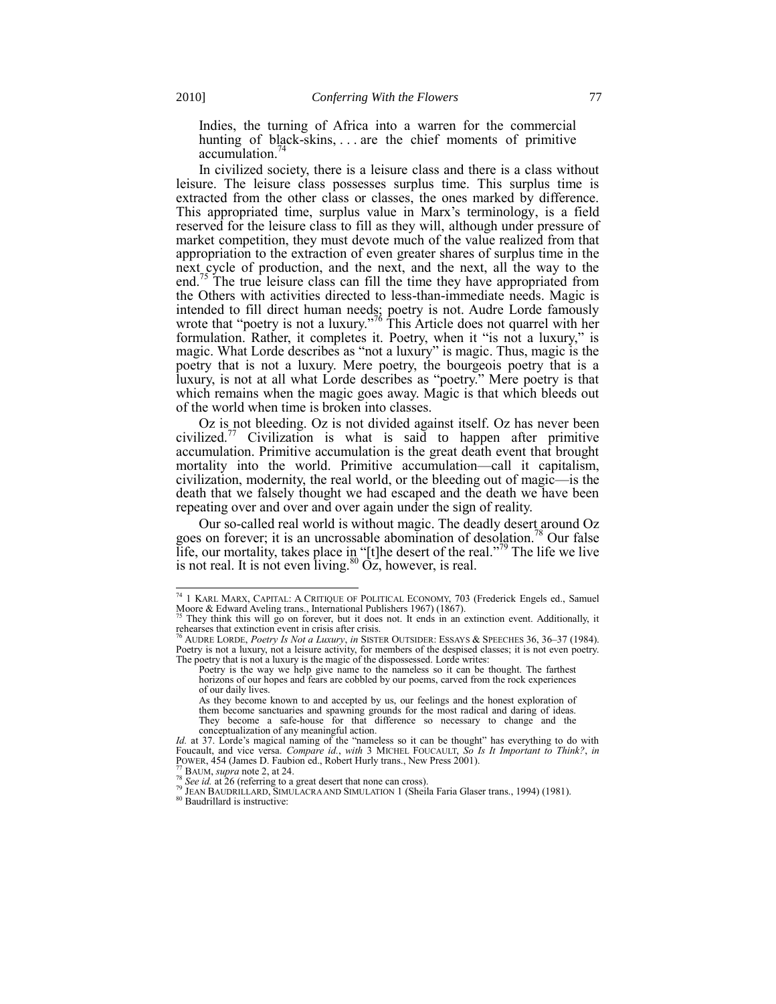Indies, the turning of Africa into a warren for the commercial hunting of black-skins, ... are the chief moments of primitive accumulation.<sup>74</sup>

In civilized society, there is a leisure class and there is a class without leisure. The leisure class possesses surplus time. This surplus time is extracted from the other class or classes, the ones marked by difference. This appropriated time, surplus value in Marx's terminology, is a field reserved for the leisure class to fill as they will, although under pressure of market competition, they must devote much of the value realized from that appropriation to the extraction of even greater shares of surplus time in the next cycle of production, and the next, and the next, all the way to the end.<sup>75</sup> The true leisure class can fill the time they have appropriated from the Others with activities directed to less-than-immediate needs. Magic is intended to fill direct human needs; poetry is not. Audre Lorde famously wrote that "poetry is not a luxury."<sup>76</sup> This Article does not quarrel with her formulation. Rather, it completes it. Poetry, when it "is not a luxury," is magic. What Lorde describes as "not a luxury" is magic. Thus, magic is the poetry that is not a luxury. Mere poetry, the bourgeois poetry that is a luxury, is not at all what Lorde describes as "poetry." Mere poetry is that which remains when the magic goes away. Magic is that which bleeds out of the world when time is broken into classes.

<span id="page-10-0"></span>Oz is not bleeding. Oz is not divided against itself. Oz has never been civilized.<sup>77</sup> Civilization is what is said to happen after primitive accumulation. Primitive accumulation is the great death event that brought mortality into the world. Primitive accumulation—call it capitalism, civilization, modernity, the real world, or the bleeding out of magic—is the death that we falsely thought we had escaped and the death we have been repeating over and over and over again under the sign of reality.

Our so-called real world is without magic. The deadly desert around Oz goes on forever; it is an uncrossable abomination of desolation.<sup>78</sup> Our false life, our mortality, takes place in "[t]he desert of the real."<sup>79</sup> The life we live is not real. It is not even living.<sup>80</sup> Oz, however, is real.

<sup>74</sup> 1 KARL MARX, CAPITAL: A CRITIQUE OF POLITICAL ECONOMY, 703 (Frederick Engels ed., Samuel Moore & Edward Aveling trans., International Publishers 1967) (1867).

They think this will go on forever, but it does not. It ends in an extinction event. Additionally, it rehearses that extinction event in crisis after crisis.

<sup>76</sup> AUDRE LORDE, *Poetry Is Not a Luxury*, *in* SISTER OUTSIDER: ESSAYS & SPEECHES 36, 36–37 (1984). Poetry is not a luxury, not a leisure activity, for members of the despised classes; it is not even poetry. The poetry that is not a luxury is the magic of the dispossessed. Lorde writes:

Poetry is the way we help give name to the nameless so it can be thought. The farthest horizons of our hopes and fears are cobbled by our poems, carved from the rock experiences of our daily lives.

As they become known to and accepted by us, our feelings and the honest exploration of them become sanctuaries and spawning grounds for the most radical and daring of ideas. They become a safe-house for that difference so necessary to change and the conceptualization of any meaningful action.

*Id.* at 37. Lorde's magical naming of the "nameless so it can be thought" has everything to do with Foucault, and vice versa. *Compare id.*, *with* 3 MICHEL FOUCAULT, *So Is It Important to Think?*, *in* POWER, 454 (James D. Faubion ed., Robert Hurly trans., New Press 2001).

BAUM, *supra* not[e 2,](#page-1-0) at 24.

<sup>&</sup>lt;sup>78</sup> *See id.* at 26 (referring to a great desert that none can cross).

<sup>79</sup> JEAN BAUDRILLARD, SIMULACRA AND SIMULATION 1 (Sheila Faria Glaser trans., 1994) (1981).

<sup>80</sup> Baudrillard is instructive: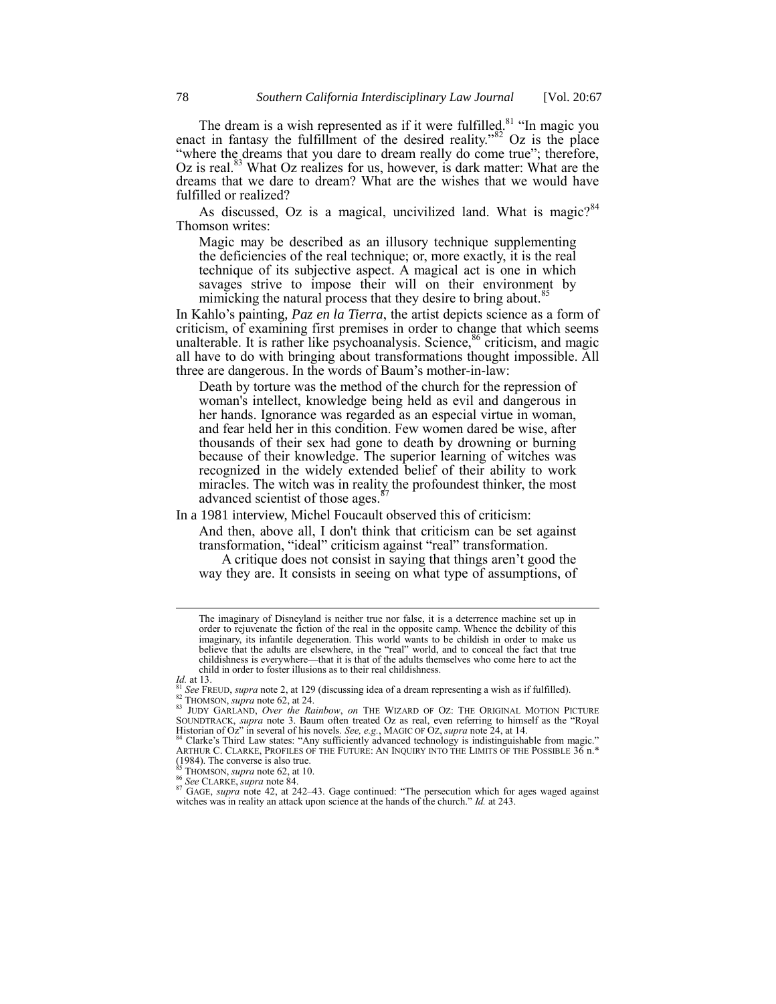The dream is a wish represented as if it were fulfilled.<sup>81</sup> "In magic you enact in fantasy the fulfillment of the desired reality.<sup>82</sup> Oz is the place "where the dreams that you dare to dream really do come true"; therefore, Oz is real.<sup>83</sup> What Oz realizes for us, however, is dark matter: What are the dreams that we dare to dream? What are the wishes that we would have fulfilled or realized?

As discussed, Oz is a magical, uncivilized land. What is magic?<sup>84</sup> Thomson writes:

<span id="page-11-0"></span>Magic may be described as an illusory technique supplementing the deficiencies of the real technique; or, more exactly, it is the real technique of its subjective aspect. A magical act is one in which savages strive to impose their will on their environment by mimicking the natural process that they desire to bring about.<sup>85</sup>

In Kahlo's painting, *Paz en la Tierra*, the artist depicts science as a form of criticism, of examining first premises in order to change that which seems unalterable. It is rather like psychoanalysis. Science,  $86$  criticism, and magic all have to do with bringing about transformations thought impossible. All three are dangerous. In the words of Baum's mother-in-law:

Death by torture was the method of the church for the repression of woman's intellect, knowledge being held as evil and dangerous in her hands. Ignorance was regarded as an especial virtue in woman, and fear held her in this condition. Few women dared be wise, after thousands of their sex had gone to death by drowning or burning because of their knowledge. The superior learning of witches was recognized in the widely extended belief of their ability to work miracles. The witch was in reality the profoundest thinker, the most advanced scientist of those ages.<sup>8</sup>

In a 1981 interview, Michel Foucault observed this of criticism:

And then, above all, I don't think that criticism can be set against transformation, "ideal" criticism against "real" transformation.

A critique does not consist in saying that things aren't good the way they are. It consists in seeing on what type of assumptions, of

*Id.* at 13.

The imaginary of Disneyland is neither true nor false, it is a deterrence machine set up in order to rejuvenate the fiction of the real in the opposite camp. Whence the debility of this imaginary, its infantile degeneration. This world wants to be childish in order to make us believe that the adults are elsewhere, in the "real" world, and to conceal the fact that true childishness is everywhere—that it is that of the adults themselves who come here to act the child in order to foster illusions as to their real childishness.

<sup>81</sup> *See* FREUD, *supra* not[e 2,](#page-1-0) at 129 (discussing idea of a dream representing a wish as if fulfilled).

<sup>82</sup> THOMSON, *supra* not[e 62,](#page-7-0) at 24.

<sup>&</sup>lt;sup>83</sup> JUDY GARLAND, *Over the Rainbow, on* THE WIZARD OF OZ: THE ORIGINAL MOTION PICTURE SOUNDTRACK, *supra* note [3](#page-1-2). Baum often treated Oz as real, even referring to himself as the "Royal" Historian of Oz<sup></sup> in several of his novels. *See, e.g.*, MAGIC OF OZ, *supra* not[e 24,](#page-3-0) at 14.<br><sup>84</sup> Clarke's Third Law states: "Any sufficiently advanced technology is indistinguishable from magic."

ARTHUR C. CLARKE, PROFILES OF THE FUTURE: AN INQUIRY INTO THE LIMITS OF THE POSSIBLE 36 n.\*  $(1984)$ . The converse is also true.

<sup>85</sup> THOMSON, *supra* not[e 62,](#page-7-0) at 10.

<sup>86</sup> *See* CLARKE, *supra* not[e 84.](#page-11-0)

<sup>87</sup> GAGE, *supra* note [42,](#page-6-0) at 242–43. Gage continued: "The persecution which for ages waged against witches was in reality an attack upon science at the hands of the church." *Id.* at 243.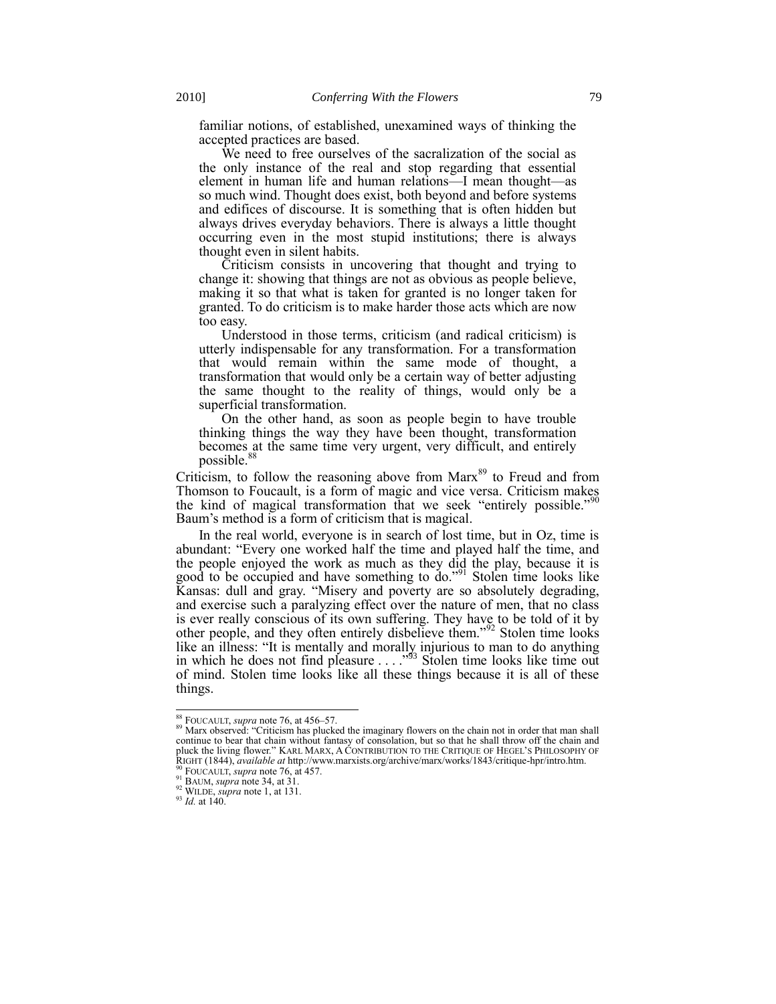familiar notions, of established, unexamined ways of thinking the accepted practices are based.

We need to free ourselves of the sacralization of the social as the only instance of the real and stop regarding that essential element in human life and human relations—I mean thought—as so much wind. Thought does exist, both beyond and before systems and edifices of discourse. It is something that is often hidden but always drives everyday behaviors. There is always a little thought occurring even in the most stupid institutions; there is always thought even in silent habits.

Criticism consists in uncovering that thought and trying to change it: showing that things are not as obvious as people believe, making it so that what is taken for granted is no longer taken for granted. To do criticism is to make harder those acts which are now too easy.

Understood in those terms, criticism (and radical criticism) is utterly indispensable for any transformation. For a transformation that would remain within the same mode of thought, a transformation that would only be a certain way of better adjusting the same thought to the reality of things, would only be a superficial transformation.

On the other hand, as soon as people begin to have trouble thinking things the way they have been thought, transformation becomes at the same time very urgent, very difficult, and entirely possible.<sup>88</sup>

Criticism, to follow the reasoning above from  $Mars^{89}$  to Freud and from Thomson to Foucault, is a form of magic and vice versa. Criticism makes the kind of magical transformation that we seek "entirely possible."<sup>90</sup> Baum's method is a form of criticism that is magical.

In the real world, everyone is in search of lost time, but in Oz, time is abundant: "Every one worked half the time and played half the time, and the people enjoyed the work as much as they did the play, because it is good to be occupied and have something to do."<sup>91</sup> Stolen time looks like Kansas: dull and gray. "Misery and poverty are so absolutely degrading, and exercise such a paralyzing effect over the nature of men, that no class is ever really conscious of its own suffering. They have to be told of it by other people, and they often entirely disbelieve them."<sup>92</sup> Stolen time looks like an illness: "It is mentally and morally injurious to man to do anything in which he does not find pleasure  $\ldots$ .<sup>93</sup> Stolen time looks like time out of mind. Stolen time looks like all these things because it is all of these things.

<sup>88</sup> FOUCAULT, *supra* not[e 76,](#page-10-0) at 456–57.

<sup>89</sup> Marx observed: "Criticism has plucked the imaginary flowers on the chain not in order that man shall continue to bear that chain without fantasy of consolation, but so that he shall throw off the chain and pluck the living flower.‖ KARL MARX, A CONTRIBUTION TO THE CRITIQUE OF HEGEL'S PHILOSOPHY OF RIGHT (1844), *available at* http://www.marxists.org/archive/marx/works/1843/critique-hpr/intro.htm. FOUCAULT, *supra* not[e 76,](#page-10-0) at 457.

<sup>91</sup> BAUM, *supra* not[e 34,](#page-4-0) at 31.

<sup>92</sup> WILDE, *supra* not[e 1,](#page-0-0) at 131.

<sup>93</sup> *Id.* at 140.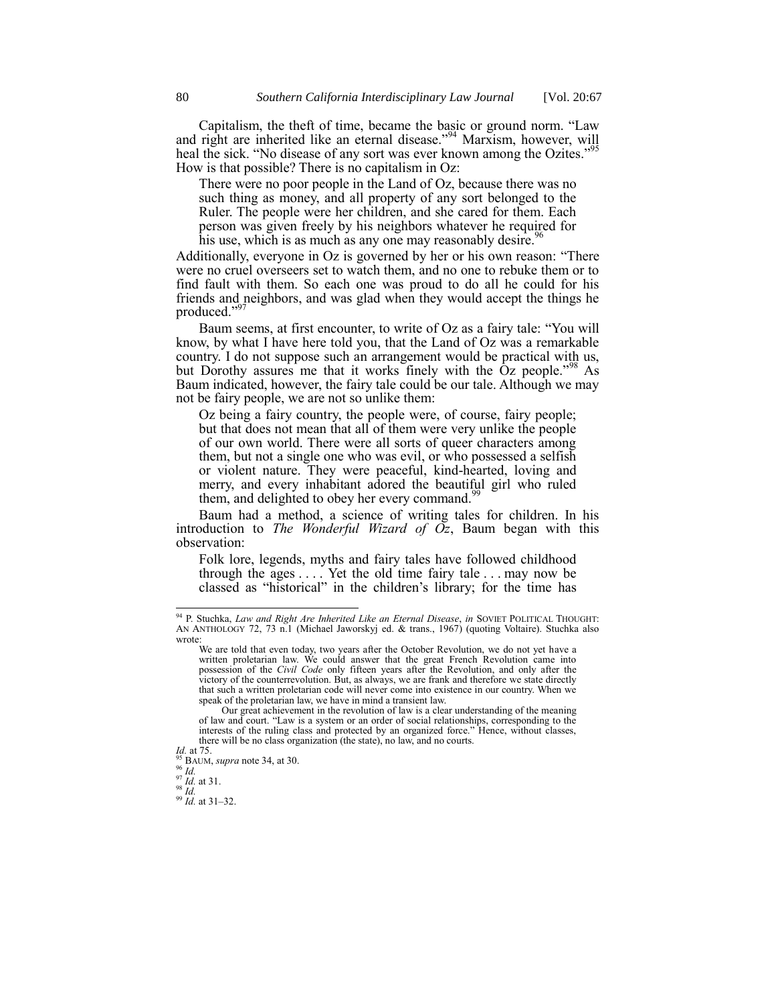Capitalism, the theft of time, became the basic or ground norm. "Law and right are inherited like an eternal disease."<sup>94</sup> Marxism, however, will heal the sick. "No disease of any sort was ever known among the Ozites."<sup>95</sup> How is that possible? There is no capitalism in Oz:

There were no poor people in the Land of Oz, because there was no such thing as money, and all property of any sort belonged to the Ruler. The people were her children, and she cared for them. Each person was given freely by his neighbors whatever he required for his use, which is as much as any one may reasonably desire.<sup>96</sup>

Additionally, everyone in Oz is governed by her or his own reason: "There were no cruel overseers set to watch them, and no one to rebuke them or to find fault with them. So each one was proud to do all he could for his friends and neighbors, and was glad when they would accept the things he produced."<sup>97</sup>

Baum seems, at first encounter, to write of Oz as a fairy tale: "You will know, by what I have here told you, that the Land of Oz was a remarkable country. I do not suppose such an arrangement would be practical with us, but Dorothy assures me that it works finely with the  $Oz$  people.<sup>98</sup> As Baum indicated, however, the fairy tale could be our tale. Although we may not be fairy people, we are not so unlike them:

Oz being a fairy country, the people were, of course, fairy people; but that does not mean that all of them were very unlike the people of our own world. There were all sorts of queer characters among them, but not a single one who was evil, or who possessed a selfish or violent nature. They were peaceful, kind-hearted, loving and merry, and every inhabitant adored the beautiful girl who ruled them, and delighted to obey her every command.<sup>99</sup>

Baum had a method, a science of writing tales for children. In his introduction to *The Wonderful Wizard of Oz*, Baum began with this observation:

Folk lore, legends, myths and fairy tales have followed childhood through the ages . . . . Yet the old time fairy tale . . . may now be classed as "historical" in the children's library; for the time has

<sup>94</sup> P. Stuchka, *Law and Right Are Inherited Like an Eternal Disease*, *in* SOVIET POLITICAL THOUGHT: AN ANTHOLOGY 72, 73 n.1 (Michael Jaworskyj ed. & trans., 1967) (quoting Voltaire). Stuchka also wrote:

We are told that even today, two years after the October Revolution, we do not yet have a written proletarian law. We could answer that the great French Revolution came into possession of the *Civil Code* only fifteen years after the Revolution, and only after the victory of the counterrevolution. But, as always, we are frank and therefore we state directly that such a written proletarian code will never come into existence in our country. When we speak of the proletarian law, we have in mind a transient law.

Our great achievement in the revolution of law is a clear understanding of the meaning of law and court. "Law is a system or an order of social relationships, corresponding to the interests of the ruling class and protected by an organized force." Hence, without classes, there will be no class organization (the state), no law, and no courts.

*Id.* at 75.

<sup>95</sup> BAUM, *supra* not[e 34,](#page-4-0) at 30.

<sup>96</sup> *Id.* <sup>97</sup> *Id.* at 31.

<sup>98</sup> *Id.* 

<sup>99</sup> *Id.* at 31–32.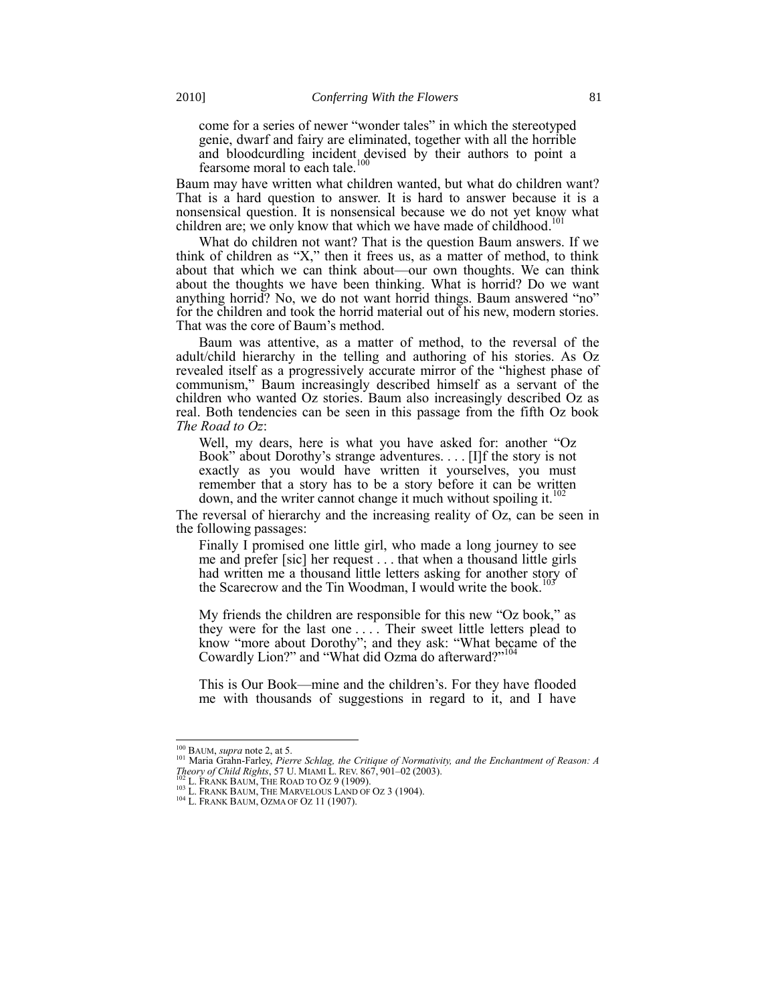come for a series of newer "wonder tales" in which the stereotyped genie, dwarf and fairy are eliminated, together with all the horrible and bloodcurdling incident devised by their authors to point a fearsome moral to each tale.<sup>100</sup>

Baum may have written what children wanted, but what do children want? That is a hard question to answer. It is hard to answer because it is a nonsensical question. It is nonsensical because we do not yet know what children are; we only know that which we have made of childhood.<sup>101</sup>

What do children not want? That is the question Baum answers. If we think of children as  $X$ , then it frees us, as a matter of method, to think about that which we can think about—our own thoughts. We can think about the thoughts we have been thinking. What is horrid? Do we want anything horrid? No, we do not want horrid things. Baum answered "no" for the children and took the horrid material out of his new, modern stories. That was the core of Baum's method.

Baum was attentive, as a matter of method, to the reversal of the adult/child hierarchy in the telling and authoring of his stories. As Oz revealed itself as a progressively accurate mirror of the "highest phase of communism," Baum increasingly described himself as a servant of the children who wanted Oz stories. Baum also increasingly described Oz as real. Both tendencies can be seen in this passage from the fifth Oz book *The Road to Oz*:

Well, my dears, here is what you have asked for: another "Oz Book" about Dorothy's strange adventures. . . . [I]f the story is not exactly as you would have written it yourselves, you must remember that a story has to be a story before it can be written down, and the writer cannot change it much without spoiling it.<sup>102</sup>

The reversal of hierarchy and the increasing reality of Oz, can be seen in the following passages:

Finally I promised one little girl, who made a long journey to see me and prefer [sic] her request . . . that when a thousand little girls had written me a thousand little letters asking for another story of the Scarecrow and the Tin Woodman, I would write the book.<sup>103</sup>

My friends the children are responsible for this new " $Oz$  book," as they were for the last one . . . . Their sweet little letters plead to know "more about Dorothy"; and they ask: "What became of the Cowardly Lion?" and "What did Ozma do afterward?"<sup>104</sup>

This is Our Book—mine and the children's. For they have flooded me with thousands of suggestions in regard to it, and I have

<sup>100</sup> BAUM, *supra* not[e 2,](#page-1-0) at 5.

<sup>101</sup> Maria Grahn-Farley, *Pierre Schlag, the Critique of Normativity, and the Enchantment of Reason: A Theory of Child Rights*, 57 U. MIAMI L. REV. 867, 901–02 (2003). <sup>102</sup> L. FRANK BAUM, THE ROAD TO OZ 9 (1909).

<sup>&</sup>lt;sup>103</sup> L. FRANK BAUM, THE MARVELOUS LAND OF OZ 3 (1904). 103 L. FRANK BAUM, THE MARVELOUS LAND OF OZ 3 (1904).<br><sup>104</sup> L. FRANK BAUM, OZMA OF OZ 11 (1907).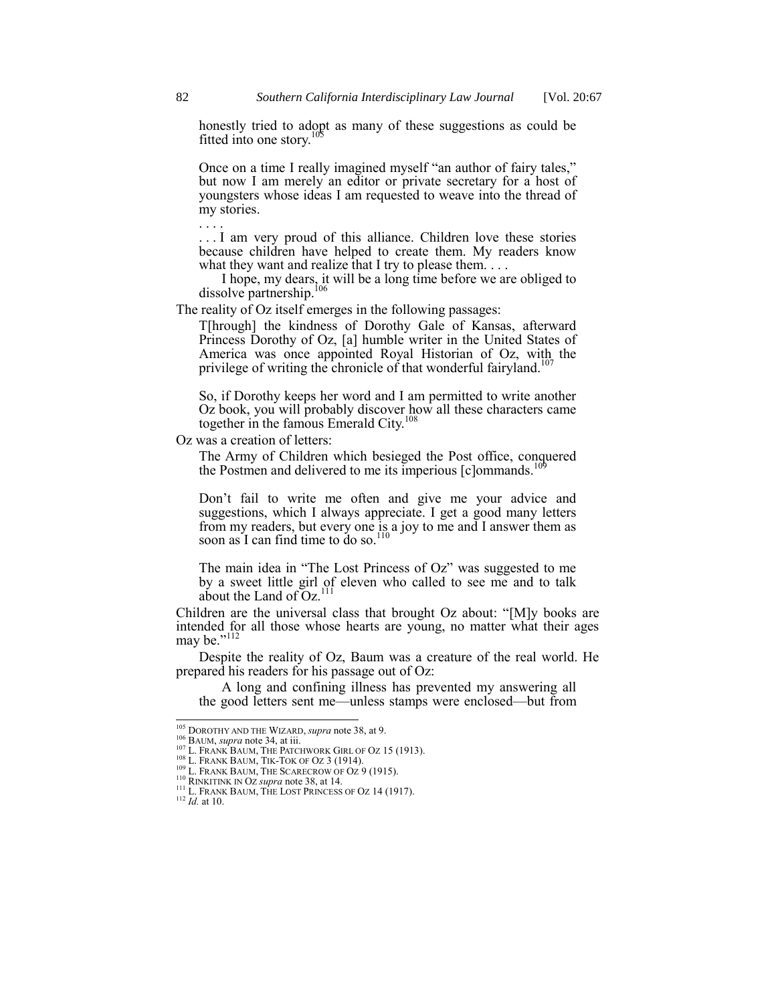honestly tried to adopt as many of these suggestions as could be fitted into one story.<sup>10</sup>

Once on a time I really imagined myself "an author of fairy tales," but now I am merely an editor or private secretary for a host of youngsters whose ideas I am requested to weave into the thread of my stories. . . . .

. . . I am very proud of this alliance. Children love these stories because children have helped to create them. My readers know what they want and realize that I try to please them. . . .

I hope, my dears, it will be a long time before we are obliged to only partnership  $\frac{106}{106}$ dissolve partnership.

The reality of Oz itself emerges in the following passages:

T[hrough] the kindness of Dorothy Gale of Kansas, afterward Princess Dorothy of Oz, [a] humble writer in the United States of America was once appointed Royal Historian of Oz, with the privilege of writing the chronicle of that wonderful fairyland.<sup>107</sup>

So, if Dorothy keeps her word and I am permitted to write another Oz book, you will probably discover how all these characters came together in the famous Emerald City.<sup>108</sup>

Oz was a creation of letters:

The Army of Children which besieged the Post office, conquered the Postmen and delivered to me its imperious [c]ommands.<sup>1</sup>

Don't fail to write me often and give me your advice and suggestions, which I always appreciate. I get a good many letters from my readers, but every one is a joy to me and I answer them as soon as I can find time to do so. $110$ 

The main idea in "The Lost Princess of Oz" was suggested to me by a sweet little girl of eleven who called to see me and to talk about the Land of  $Oz$ <sup>111</sup>

Children are the universal class that brought  $Oz$  about: "[M]y books are intended for all those whose hearts are young, no matter what their ages may be." $112$ 

Despite the reality of Oz, Baum was a creature of the real world. He prepared his readers for his passage out of Oz:

A long and confining illness has prevented my answering all the good letters sent me—unless stamps were enclosed—but from

<sup>105</sup> DOROTHY AND THE WIZARD, *supra* not[e 38,](#page-5-0) at 9.

<sup>&</sup>lt;sup>106</sup> BAUM, *supra* not[e 34,](#page-4-0) at iii. **The PATCHWORK GIRL OF OZ 15 (1913).** The PATCHWORK GIRL OF OZ 15 (1913).

 $^{108}$  L. Frank Baum, Tik-Tok of Oz 3 (1914).

 $^{109}$  L. FRANK BAUM, THE SCARECROW OF OZ 9 (1915). <sup>110</sup> RINKITINK IN OZ *supra* not[e 38,](#page-5-0) at 14.

<sup>&</sup>lt;sup>111</sup> L. FRANK BAUM, THE LOST PRINCESS OF OZ 14 (1917).

 $^{112}$   $\overline{Id}$ . at 10.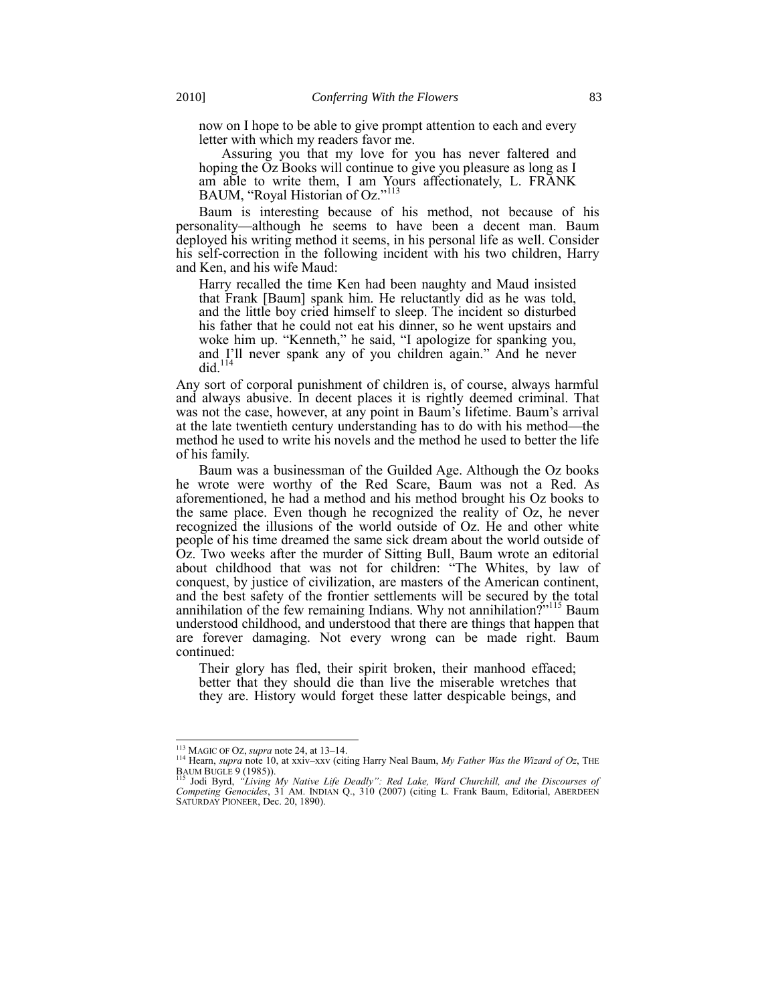now on I hope to be able to give prompt attention to each and every letter with which my readers favor me.

Assuring you that my love for you has never faltered and hoping the Oz Books will continue to give you pleasure as long as I am able to write them, I am Yours affectionately, L. FRANK BAUM, "Royal Historian of Oz."<sup>113</sup>

Baum is interesting because of his method, not because of his personality—although he seems to have been a decent man. Baum deployed his writing method it seems, in his personal life as well. Consider his self-correction in the following incident with his two children, Harry and Ken, and his wife Maud:

Harry recalled the time Ken had been naughty and Maud insisted that Frank [Baum] spank him. He reluctantly did as he was told, and the little boy cried himself to sleep. The incident so disturbed his father that he could not eat his dinner, so he went upstairs and woke him up. "Kenneth," he said, "I apologize for spanking you, and I'll never spank any of you children again." And he never did. $114$ 

Any sort of corporal punishment of children is, of course, always harmful and always abusive. In decent places it is rightly deemed criminal. That was not the case, however, at any point in Baum's lifetime. Baum's arrival at the late twentieth century understanding has to do with his method—the method he used to write his novels and the method he used to better the life of his family.

Baum was a businessman of the Guilded Age. Although the Oz books he wrote were worthy of the Red Scare, Baum was not a Red. As aforementioned, he had a method and his method brought his Oz books to the same place. Even though he recognized the reality of Oz, he never recognized the illusions of the world outside of Oz. He and other white people of his time dreamed the same sick dream about the world outside of Oz. Two weeks after the murder of Sitting Bull, Baum wrote an editorial about childhood that was not for children: "The Whites, by law of conquest, by justice of civilization, are masters of the American continent, and the best safety of the frontier settlements will be secured by the total annihilation of the few remaining Indians. Why not annihilation?"<sup>115</sup> Baum understood childhood, and understood that there are things that happen that are forever damaging. Not every wrong can be made right. Baum continued:

Their glory has fled, their spirit broken, their manhood effaced; better that they should die than live the miserable wretches that they are. History would forget these latter despicable beings, and

<sup>113</sup> MAGIC OF OZ, *supra* not[e 24,](#page-3-0) at 13–14.

<sup>114</sup> Hearn, *supra* not[e 10,](#page-1-4) at xxiv–xxv (citing Harry Neal Baum, *My Father Was the Wizard of Oz*, THE BAUM BUGLE 9 (1985)).<br><sup>115</sup> Jodi Byrd, *"Living My Native Life Deadly": Red Lake, Ward Churchill, and the Discourses of* 

*Competing Genocides*, 31 AM. INDIAN Q., 310 (2007) (citing L. Frank Baum, Editorial, ABERDEEN SATURDAY PIONEER, Dec. 20, 1890).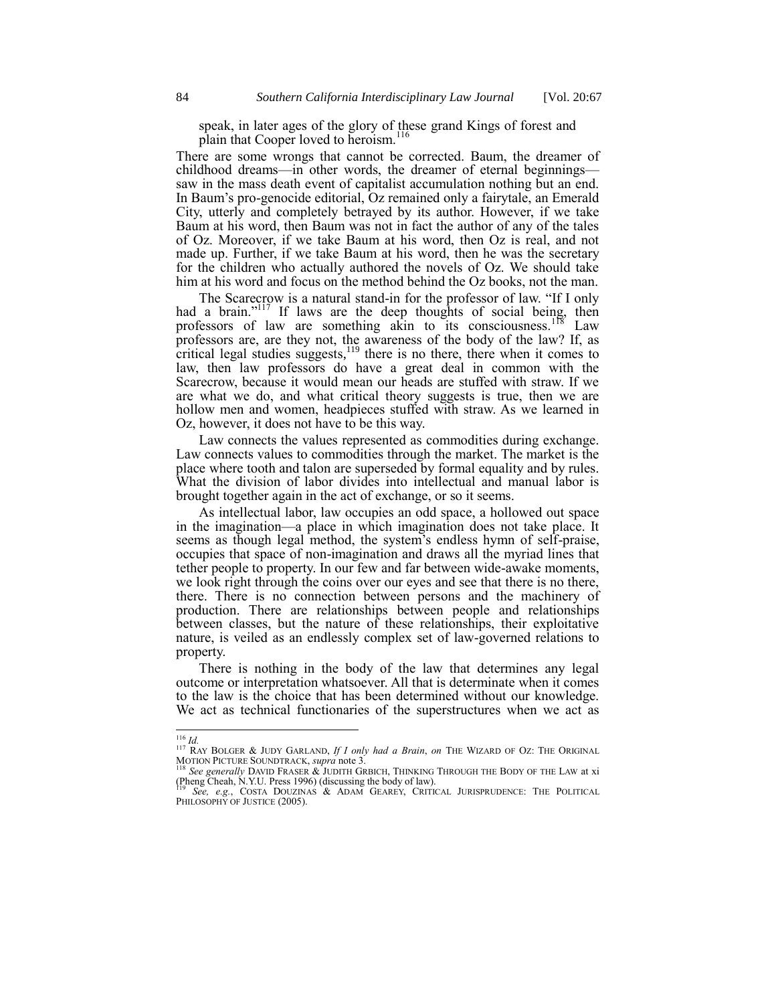speak, in later ages of the glory of these grand Kings of forest and plain that Cooper loved to heroism.<sup>116</sup>

There are some wrongs that cannot be corrected. Baum, the dreamer of childhood dreams—in other words, the dreamer of eternal beginnings saw in the mass death event of capitalist accumulation nothing but an end. In Baum's pro-genocide editorial, Oz remained only a fairytale, an Emerald City, utterly and completely betrayed by its author. However, if we take Baum at his word, then Baum was not in fact the author of any of the tales of Oz. Moreover, if we take Baum at his word, then Oz is real, and not made up. Further, if we take Baum at his word, then he was the secretary for the children who actually authored the novels of Oz. We should take him at his word and focus on the method behind the Oz books, not the man.

The Scarecrow is a natural stand-in for the professor of law. "If I only had a brain."<sup>117</sup> If laws are the deep thoughts of social being, then professors of law are something akin to its consciousness.<sup>118</sup> Law professors are, are they not, the awareness of the body of the law? If, as critical legal studies suggests, $119$  there is no there, there when it comes to law, then law professors do have a great deal in common with the Scarecrow, because it would mean our heads are stuffed with straw. If we are what we do, and what critical theory suggests is true, then we are hollow men and women, headpieces stuffed with straw. As we learned in Oz, however, it does not have to be this way.

Law connects the values represented as commodities during exchange. Law connects values to commodities through the market. The market is the place where tooth and talon are superseded by formal equality and by rules. What the division of labor divides into intellectual and manual labor is brought together again in the act of exchange, or so it seems.

As intellectual labor, law occupies an odd space, a hollowed out space in the imagination—a place in which imagination does not take place. It seems as though legal method, the system's endless hymn of self-praise, occupies that space of non-imagination and draws all the myriad lines that tether people to property. In our few and far between wide-awake moments, we look right through the coins over our eyes and see that there is no there, there. There is no connection between persons and the machinery of production. There are relationships between people and relationships between classes, but the nature of these relationships, their exploitative nature, is veiled as an endlessly complex set of law-governed relations to property.

There is nothing in the body of the law that determines any legal outcome or interpretation whatsoever. All that is determinate when it comes to the law is the choice that has been determined without our knowledge. We act as technical functionaries of the superstructures when we act as

<sup>116</sup> *Id.* <sup>117</sup> RAY BOLGER & JUDY GARLAND, *If I only had a Brain*, *on* THE WIZARD OF OZ: THE ORIGINAL MOTION PICTURE SOUNDTRACK, *supra* note [3.](#page-1-2)

<sup>&</sup>lt;sup>118</sup> *See generally* DAVID FRASER & JUDITH GRBICH, THINKING THROUGH THE BODY OF THE LAW at xi (Pheng Cheah, N.Y.U. Press 1996) (discussing the body of law).

See, e.g., COSTA DOUZINAS & ADAM GEAREY, CRITICAL JURISPRUDENCE: THE POLITICAL PHILOSOPHY OF JUSTICE (2005).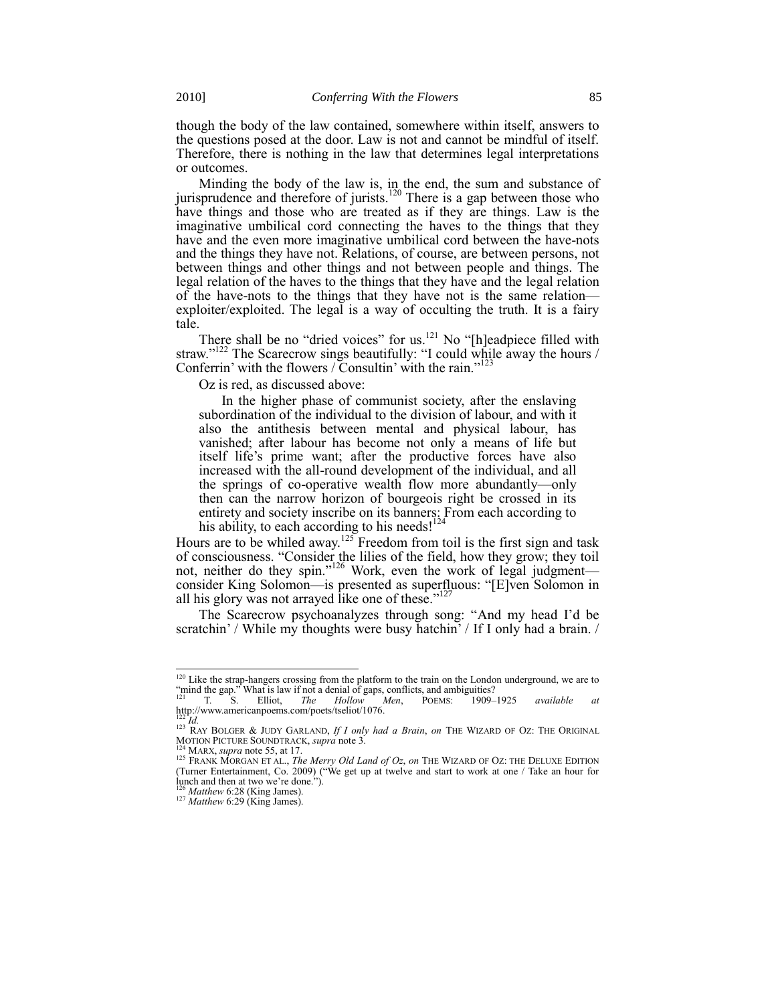though the body of the law contained, somewhere within itself, answers to the questions posed at the door. Law is not and cannot be mindful of itself. Therefore, there is nothing in the law that determines legal interpretations or outcomes.

Minding the body of the law is, in the end, the sum and substance of jurisprudence and therefore of jurists.<sup>120</sup> There is a gap between those who have things and those who are treated as if they are things. Law is the imaginative umbilical cord connecting the haves to the things that they have and the even more imaginative umbilical cord between the have-nots and the things they have not. Relations, of course, are between persons, not between things and other things and not between people and things. The legal relation of the haves to the things that they have and the legal relation of the have-nots to the things that they have not is the same relation exploiter/exploited. The legal is a way of occulting the truth. It is a fairy tale.

There shall be no "dried voices" for us.<sup>121</sup> No "[h]eadpiece filled with straw." $122$  The Scarecrow sings beautifully: "I could while away the hours / Conferrin' with the flowers / Consultin' with the rain."<sup>123</sup>

Oz is red, as discussed above:

In the higher phase of communist society, after the enslaving subordination of the individual to the division of labour, and with it also the antithesis between mental and physical labour, has vanished; after labour has become not only a means of life but itself life's prime want; after the productive forces have also increased with the all-round development of the individual, and all the springs of co-operative wealth flow more abundantly—only then can the narrow horizon of bourgeois right be crossed in its entirety and society inscribe on its banners: From each according to his ability, to each according to his needs!<sup>124</sup>

Hours are to be whiled away.<sup>125</sup> Freedom from toil is the first sign and task of consciousness. ―Consider the lilies of the field, how they grow; they toil not, neither do they spin."<sup>126</sup> Work, even the work of legal judgment consider King Solomon—is presented as superfluous: "[E]ven Solomon in all his glory was not arrayed like one of these. $12$ <sup>72</sup>

The Scarecrow psychoanalyzes through song: "And my head I'd be scratchin' / While my thoughts were busy hatchin' / If I only had a brain. /

<sup>&</sup>lt;sup>120</sup> Like the strap-hangers crossing from the platform to the train on the London underground, we are to "mind the gap." What is law if not a denial of gaps, conflicts, and ambiguities?<br><sup>121</sup> T. S. Elliot, *The Hollow Me* 

http://www.americanpoems.com/poets/tseliot/1076.

<sup>122</sup> *Id.*

<sup>123</sup> RAY BOLGER & JUDY GARLAND, *If I only had a Brain*, *on* THE WIZARD OF OZ: THE ORIGINAL MOTION PICTURE SOUNDTRACK, *supra* note [3.](#page-1-2)

MARX, *supra* not[e 55,](#page-7-1) at 17.

<sup>&</sup>lt;sup>125</sup> FRANK MORGAN ET AL., *The Merry Old Land of Oz*, *on* THE WIZARD OF OZ: THE DELUXE EDITION<br><sup>125</sup> FRANK MORGAN ET AL., *The Merry Old Land of Oz*, *on* The WIZARD OF OZ: THE DELUXE EDITION (Turner Entertainment, Co. 2009) ("We get up at twelve and start to work at one / Take an hour for lunch and then at two we're done.").

Matthew 6:28 (King James).

<sup>&</sup>lt;sup>127</sup> *Matthew* 6:29 (King James).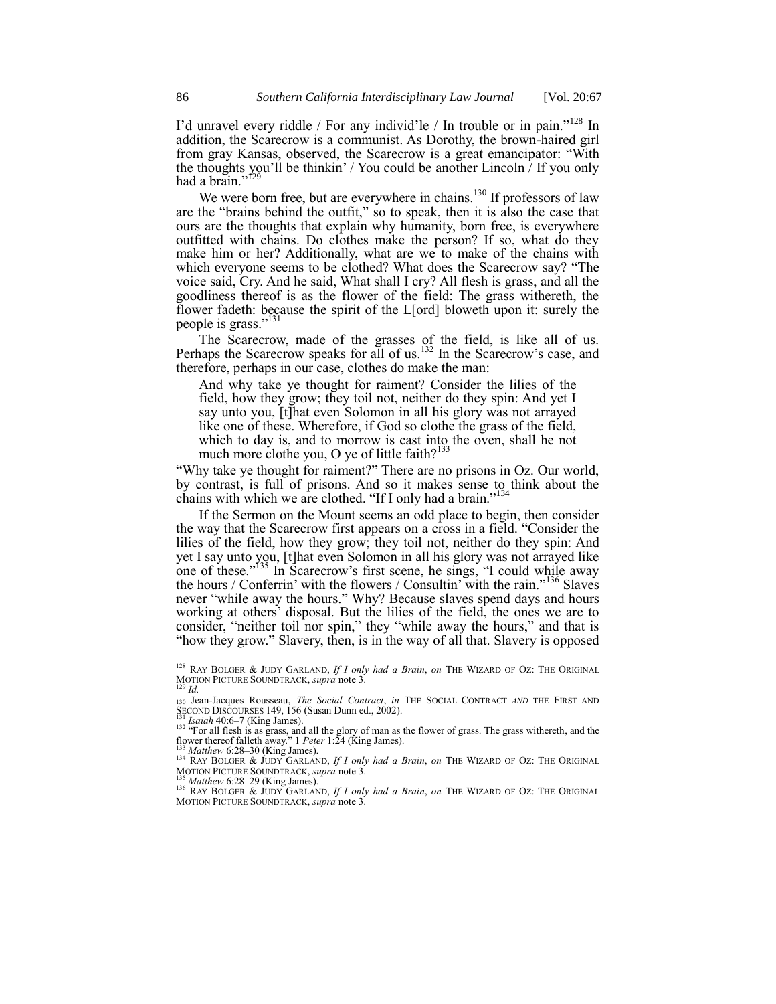I'd unravel every riddle / For any individ'le / In trouble or in pain."<sup>128</sup> In addition, the Scarecrow is a communist. As Dorothy, the brown-haired girl from gray Kansas, observed, the Scarecrow is a great emancipator: "With the thoughts you'll be thinkin' / You could be another Lincoln  $\hat{I}$  If you only had a brain."<sup>129</sup>

We were born free, but are everywhere in chains.<sup>130</sup> If professors of law are the "brains behind the outfit," so to speak, then it is also the case that ours are the thoughts that explain why humanity, born free, is everywhere outfitted with chains. Do clothes make the person? If so, what do they make him or her? Additionally, what are we to make of the chains with which everyone seems to be clothed? What does the Scarecrow say? "The voice said, Cry. And he said, What shall I cry? All flesh is grass, and all the goodliness thereof is as the flower of the field: The grass withereth, the flower fadeth: because the spirit of the L[ord] bloweth upon it: surely the people is grass."<sup>13</sup>

The Scarecrow, made of the grasses of the field, is like all of us. Perhaps the Scarecrow speaks for all of us.<sup>132</sup> In the Scarecrow's case, and therefore, perhaps in our case, clothes do make the man:

And why take ye thought for raiment? Consider the lilies of the field, how they grow; they toil not, neither do they spin: And yet I say unto you, [t]hat even Solomon in all his glory was not arrayed like one of these. Wherefore, if God so clothe the grass of the field, which to day is, and to morrow is cast into the oven, shall he not much more clothe you, O ye of little faith? $133$ 

"Why take ye thought for raiment?" There are no prisons in Oz. Our world, by contrast, is full of prisons. And so it makes sense to think about the chains with which we are clothed. "If I only had a brain."<sup>134</sup>

If the Sermon on the Mount seems an odd place to begin, then consider the way that the Scarecrow first appears on a cross in a field. "Consider the lilies of the field, how they grow; they toil not, neither do they spin: And yet I say unto you, [t]hat even Solomon in all his glory was not arrayed like one of these."<sup>135</sup> In Scarecrow's first scene, he sings, "I could while away the hours / Conferrin' with the flowers / Consultin' with the rain."<sup>136</sup> Slaves never "while away the hours." Why? Because slaves spend days and hours working at others' disposal. But the lilies of the field, the ones we are to consider, "neither toil nor spin," they "while away the hours," and that is "how they grow." Slavery, then, is in the way of all that. Slavery is opposed

<sup>128</sup> RAY BOLGER & JUDY GARLAND, *If I only had a Brain*, *on* THE WIZARD OF OZ: THE ORIGINAL MOTION PICTURE SOUNDTRACK, *supra* note [3.](#page-1-2) <sup>129</sup> *Id.*

<sup>130</sup> Jean-Jacques Rousseau, *The Social Contract*, *in* THE SOCIAL CONTRACT *AND* THE FIRST AND SECOND DISCOURSES 149, 156 (Susan Dunn ed., 2002). <sup>131</sup> *Isaiah* 40:6–7 (King James).

<sup>&</sup>lt;sup>132</sup> "For all flesh is as grass, and all the glory of man as the flower of grass. The grass withereth, and the flower thereof falleth away.‖ 1 *Peter* 1:24 (King James). <sup>133</sup> *Matthew* 6:28–30 (King James).

<sup>134</sup> RAY BOLGER & JUDY GARLAND, *If I only had a Brain*, *on* THE WIZARD OF OZ: THE ORIGINAL MOTION PICTURE SOUNDTRACK, *supra* note [3.](#page-1-2) <sup>135</sup> *Matthew* 6:28–29 (King James).

<sup>136</sup> RAY BOLGER & JUDY GARLAND, *If I only had a Brain*, *on* THE WIZARD OF OZ: THE ORIGINAL MOTION PICTURE SOUNDTRACK, *supra* note [3.](#page-1-2)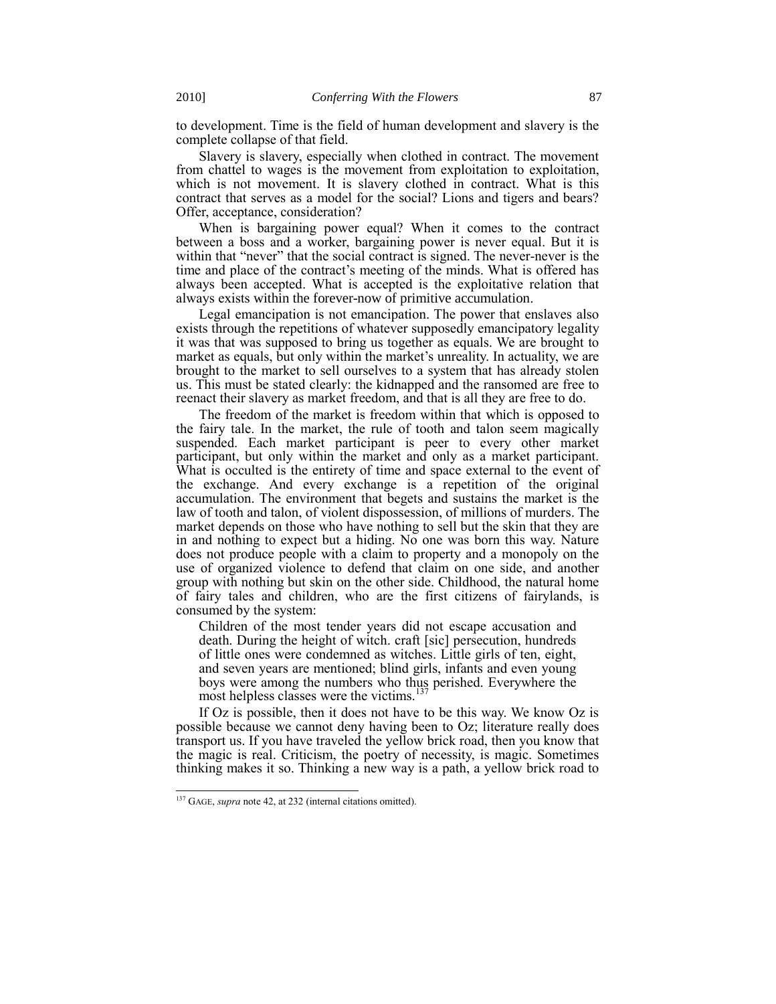to development. Time is the field of human development and slavery is the complete collapse of that field.

Slavery is slavery, especially when clothed in contract. The movement from chattel to wages is the movement from exploitation to exploitation, which is not movement. It is slavery clothed in contract. What is this contract that serves as a model for the social? Lions and tigers and bears? Offer, acceptance, consideration?

When is bargaining power equal? When it comes to the contract between a boss and a worker, bargaining power is never equal. But it is within that "never" that the social contract is signed. The never-never is the time and place of the contract's meeting of the minds. What is offered has always been accepted. What is accepted is the exploitative relation that always exists within the forever-now of primitive accumulation.

Legal emancipation is not emancipation. The power that enslaves also exists through the repetitions of whatever supposedly emancipatory legality it was that was supposed to bring us together as equals. We are brought to market as equals, but only within the market's unreality. In actuality, we are brought to the market to sell ourselves to a system that has already stolen us. This must be stated clearly: the kidnapped and the ransomed are free to reenact their slavery as market freedom, and that is all they are free to do.

The freedom of the market is freedom within that which is opposed to the fairy tale. In the market, the rule of tooth and talon seem magically suspended. Each market participant is peer to every other market participant, but only within the market and only as a market participant. What is occulted is the entirety of time and space external to the event of the exchange. And every exchange is a repetition of the original accumulation. The environment that begets and sustains the market is the law of tooth and talon, of violent dispossession, of millions of murders. The market depends on those who have nothing to sell but the skin that they are in and nothing to expect but a hiding. No one was born this way. Nature does not produce people with a claim to property and a monopoly on the use of organized violence to defend that claim on one side, and another group with nothing but skin on the other side. Childhood, the natural home of fairy tales and children, who are the first citizens of fairylands, is consumed by the system:

Children of the most tender years did not escape accusation and death. During the height of witch. craft [sic] persecution, hundreds of little ones were condemned as witches. Little girls of ten, eight, and seven years are mentioned; blind girls, infants and even young boys were among the numbers who thus perished. Everywhere the most helpless classes were the victims. $137$ 

If Oz is possible, then it does not have to be this way. We know Oz is possible because we cannot deny having been to Oz; literature really does transport us. If you have traveled the yellow brick road, then you know that the magic is real. Criticism, the poetry of necessity, is magic. Sometimes thinking makes it so. Thinking a new way is a path, a yellow brick road to

<sup>&</sup>lt;sup>137</sup> GAGE, *supra* not[e 42,](#page-6-0) at 232 (internal citations omitted).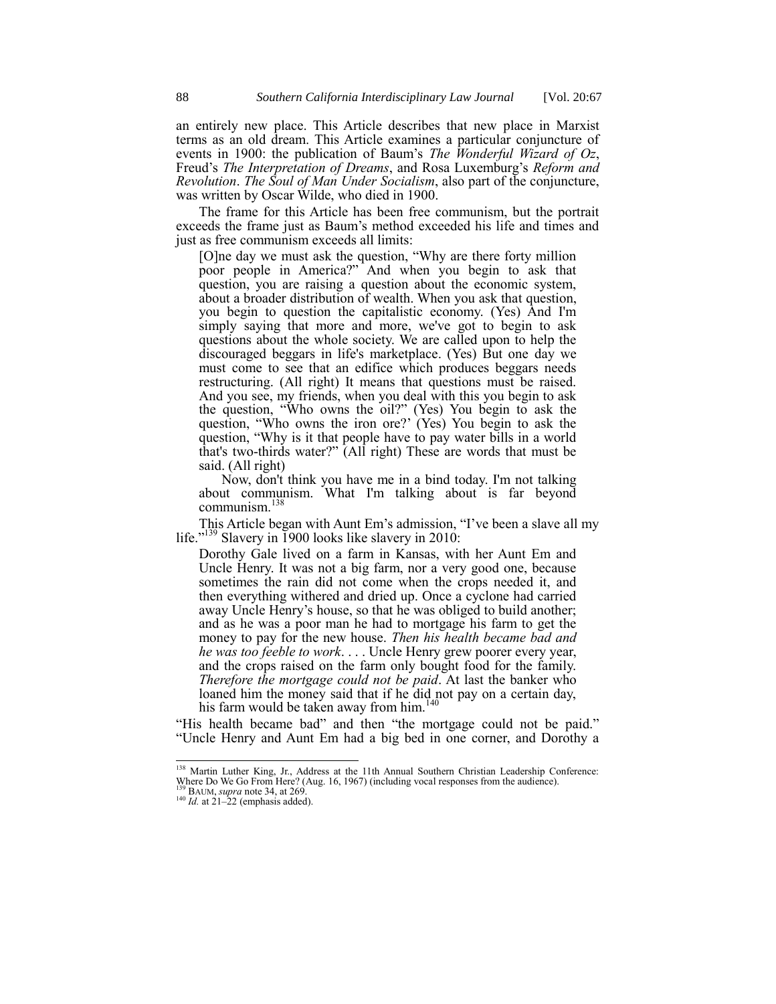an entirely new place. This Article describes that new place in Marxist terms as an old dream. This Article examines a particular conjuncture of events in 1900: the publication of Baum's *The Wonderful Wizard of Oz*, Freud's *The Interpretation of Dreams*, and Rosa Luxemburg's *Reform and Revolution*. *The Soul of Man Under Socialism*, also part of the conjuncture, was written by Oscar Wilde, who died in 1900.

The frame for this Article has been free communism, but the portrait exceeds the frame just as Baum's method exceeded his life and times and just as free communism exceeds all limits:

[O]ne day we must ask the question, "Why are there forty million poor people in America?" And when you begin to ask that question, you are raising a question about the economic system, about a broader distribution of wealth. When you ask that question, you begin to question the capitalistic economy. (Yes) And I'm simply saying that more and more, we've got to begin to ask questions about the whole society. We are called upon to help the discouraged beggars in life's marketplace. (Yes) But one day we must come to see that an edifice which produces beggars needs restructuring. (All right) It means that questions must be raised. And you see, my friends, when you deal with this you begin to ask the question, "Who owns the oil?" (Yes) You begin to ask the question, "Who owns the iron ore?' (Yes) You begin to ask the question, "Why is it that people have to pay water bills in a world that's two-thirds water?"  $\overline{(All right)}$  These are words that must be said. (All right)

<span id="page-21-0"></span>Now, don't think you have me in a bind today. I'm not talking about communism. What I'm talking about is far beyond communism.<sup>138</sup>

This Article began with Aunt Em's admission, "I've been a slave all my life."<sup>139</sup> Slavery in 1900 looks like slavery in 2010:

Dorothy Gale lived on a farm in Kansas, with her Aunt Em and Uncle Henry. It was not a big farm, nor a very good one, because sometimes the rain did not come when the crops needed it, and then everything withered and dried up. Once a cyclone had carried away Uncle Henry's house, so that he was obliged to build another; and as he was a poor man he had to mortgage his farm to get the money to pay for the new house. *Then his health became bad and he was too feeble to work*. . . . Uncle Henry grew poorer every year, and the crops raised on the farm only bought food for the family. *Therefore the mortgage could not be paid*. At last the banker who loaned him the money said that if he did not pay on a certain day, his farm would be taken away from him.<sup>140</sup>

"His health became bad" and then "the mortgage could not be paid." ―Uncle Henry and Aunt Em had a big bed in one corner, and Dorothy a

<sup>&</sup>lt;sup>138</sup> Martin Luther King, Jr., Address at the 11th Annual Southern Christian Leadership Conference:<br>Where Do We Go From Here? (Aug. 16, 1967) (including vocal responses from the audience).

<sup>139</sup> BAUM, *supra* not[e 34,](#page-4-0) at 269.

<sup>&</sup>lt;sup>140</sup> *Id.* at  $21-\frac{22}{2}$  (emphasis added).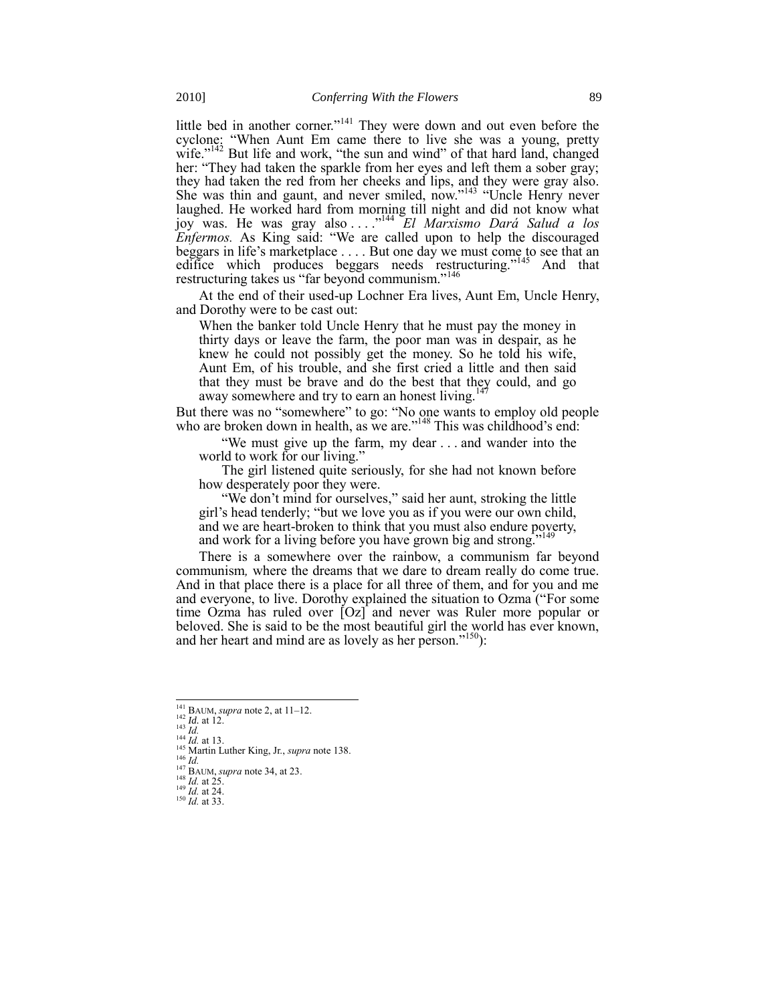little bed in another corner."<sup>141</sup> They were down and out even before the cyclone: "When Aunt Em came there to live she was a young, pretty wife." $142$  But life and work, "the sun and wind" of that hard land, changed her: "They had taken the sparkle from her eyes and left them a sober gray; they had taken the red from her cheeks and lips, and they were gray also. She was thin and gaunt, and never smiled, now."<sup>143</sup> "Uncle Henry never laughed. He worked hard from morning till night and did not know what joy was. He was gray also ...<sup>"144</sup> *El Marxismo Dará Salud a los Enfermos.* As King said: "We are called upon to help the discouraged beggars in life's marketplace . . . . But one day we must come to see that an edifice which produces beggars needs restructuring."<sup>145</sup> And that restructuring takes us "far beyond communism."<sup>146</sup>

At the end of their used-up Lochner Era lives, Aunt Em, Uncle Henry, and Dorothy were to be cast out:

When the banker told Uncle Henry that he must pay the money in thirty days or leave the farm, the poor man was in despair, as he knew he could not possibly get the money. So he told his wife, Aunt Em, of his trouble, and she first cried a little and then said that they must be brave and do the best that they could, and go that they must be brave and do the best that they away somewhere and try to earn an honest living.

But there was no "somewhere" to go: "No one wants to employ old people who are broken down in health, as we are."<sup>148</sup> This was childhood's end:

―We must give up the farm, my dear . . . and wander into the world to work for our living."

The girl listened quite seriously, for she had not known before how desperately poor they were.

"We don't mind for ourselves," said her aunt, stroking the little girl's head tenderly; "but we love you as if you were our own child, and we are heart-broken to think that you must also endure poverty, and work for a living before you have grown big and strong."<sup>149</sup>

There is a somewhere over the rainbow, a communism far beyond communism*,* where the dreams that we dare to dream really do come true. And in that place there is a place for all three of them, and for you and me and everyone, to live. Dorothy explained the situation to Ozma ("For some time Ozma has ruled over [Oz] and never was Ruler more popular or beloved. She is said to be the most beautiful girl the world has ever known, and her heart and mind are as lovely as her person." $150$ ):

l

<sup>143</sup> *Id.*

<sup>149</sup> *Id.* at 24.

<sup>141</sup> BAUM, *supra* not[e 2,](#page-1-0) at 11–12. <sup>142</sup> *Id.* at 12.

<sup>144</sup> *Id.* at 13. <sup>145</sup> Martin Luther King, Jr., *supra* note [138.](#page-21-0)

 $\frac{146}{14}$  *Id.* 

<sup>147</sup> BAUM, *supra* not[e 34,](#page-4-0) at 23. <sup>148</sup> *Id.* at 25.

<sup>150</sup> *Id.* at 33.